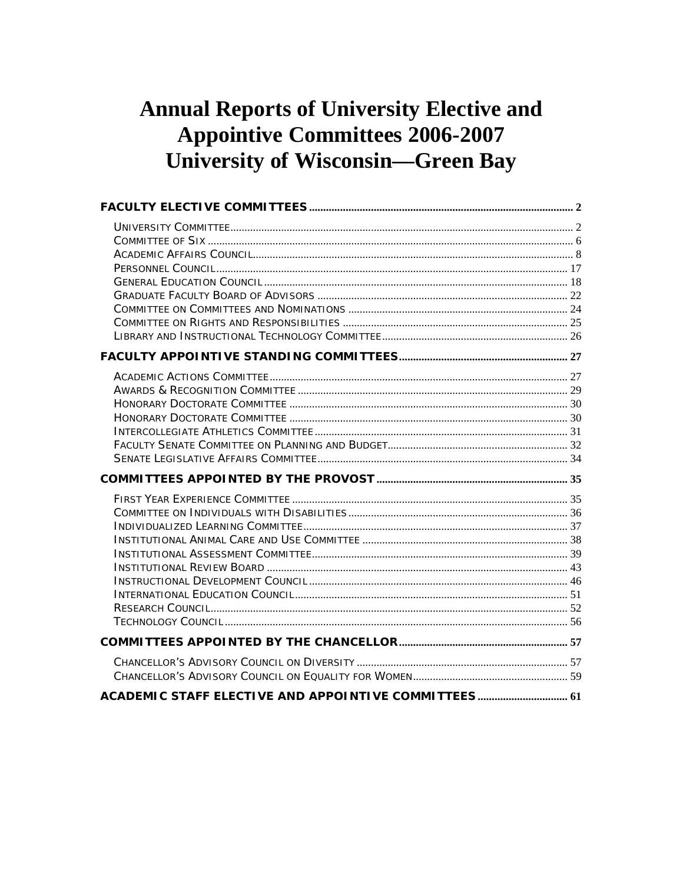# **Annual Reports of University Elective and Appointive Committees 2006-2007 University of Wisconsin-Green Bay**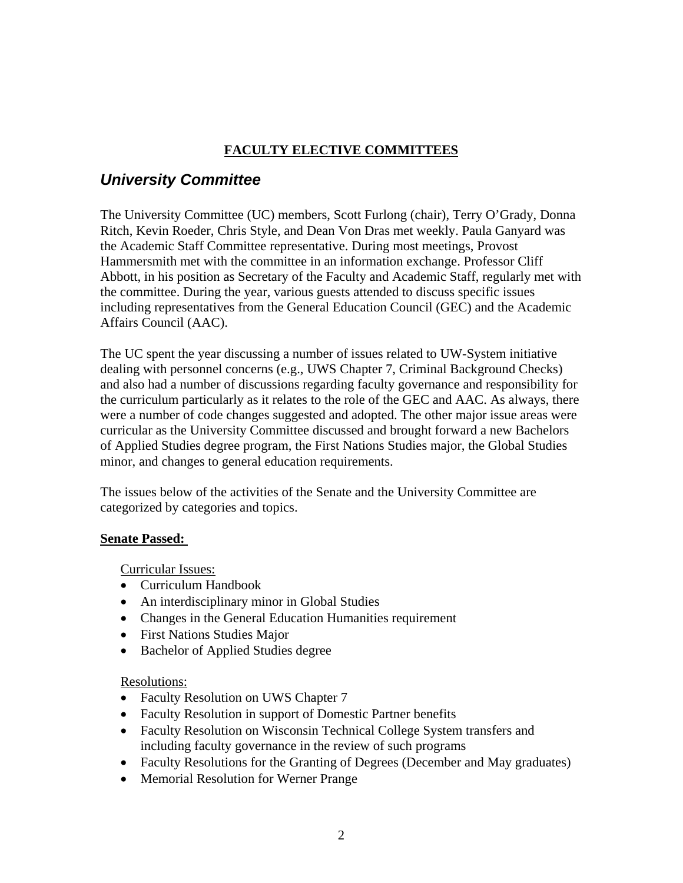### **FACULTY ELECTIVE COMMITTEES**

## <span id="page-1-0"></span>*University Committee*

The University Committee (UC) members, Scott Furlong (chair), Terry O'Grady, Donna Ritch, Kevin Roeder, Chris Style, and Dean Von Dras met weekly. Paula Ganyard was the Academic Staff Committee representative. During most meetings, Provost Hammersmith met with the committee in an information exchange. Professor Cliff Abbott, in his position as Secretary of the Faculty and Academic Staff, regularly met with the committee. During the year, various guests attended to discuss specific issues including representatives from the General Education Council (GEC) and the Academic Affairs Council (AAC).

The UC spent the year discussing a number of issues related to UW-System initiative dealing with personnel concerns (e.g., UWS Chapter 7, Criminal Background Checks) and also had a number of discussions regarding faculty governance and responsibility for the curriculum particularly as it relates to the role of the GEC and AAC. As always, there were a number of code changes suggested and adopted. The other major issue areas were curricular as the University Committee discussed and brought forward a new Bachelors of Applied Studies degree program, the First Nations Studies major, the Global Studies minor, and changes to general education requirements.

The issues below of the activities of the Senate and the University Committee are categorized by categories and topics.

### **Senate Passed:**

Curricular Issues:

- Curriculum Handbook
- An interdisciplinary minor in Global Studies
- Changes in the General Education Humanities requirement
- First Nations Studies Major
- Bachelor of Applied Studies degree

### Resolutions:

- Faculty Resolution on UWS Chapter 7
- Faculty Resolution in support of Domestic Partner benefits
- Faculty Resolution on Wisconsin Technical College System transfers and including faculty governance in the review of such programs
- Faculty Resolutions for the Granting of Degrees (December and May graduates)
- Memorial Resolution for Werner Prange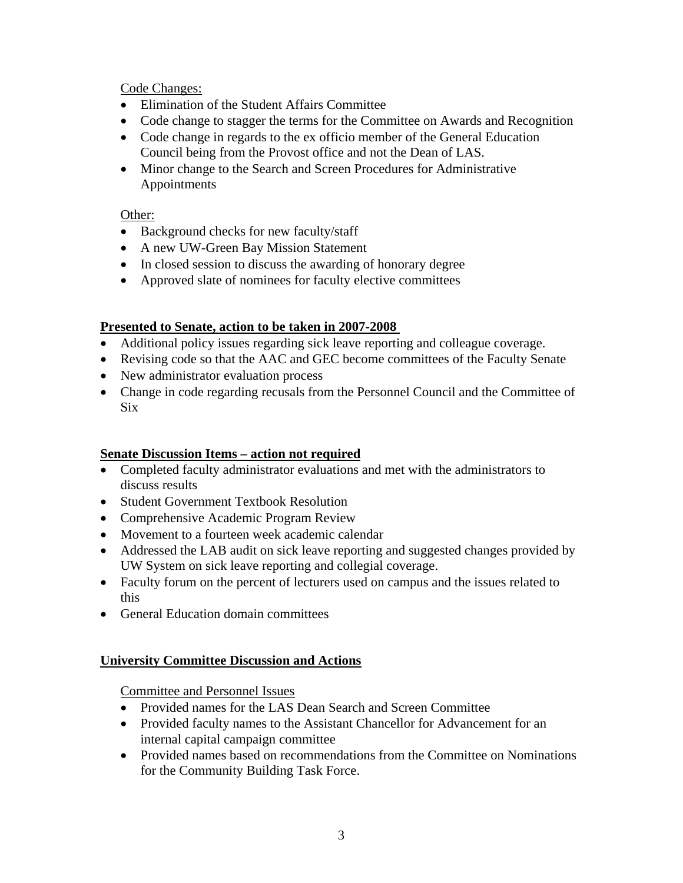Code Changes:

- Elimination of the Student Affairs Committee
- Code change to stagger the terms for the Committee on Awards and Recognition
- Code change in regards to the ex officio member of the General Education Council being from the Provost office and not the Dean of LAS.
- Minor change to the Search and Screen Procedures for Administrative Appointments

### Other:

- Background checks for new faculty/staff
- A new UW-Green Bay Mission Statement
- In closed session to discuss the awarding of honorary degree
- Approved slate of nominees for faculty elective committees

### **Presented to Senate, action to be taken in 2007-2008**

- Additional policy issues regarding sick leave reporting and colleague coverage.
- Revising code so that the AAC and GEC become committees of the Faculty Senate
- New administrator evaluation process
- Change in code regarding recusals from the Personnel Council and the Committee of Six

### **Senate Discussion Items – action not required**

- Completed faculty administrator evaluations and met with the administrators to discuss results
- Student Government Textbook Resolution
- Comprehensive Academic Program Review
- Movement to a fourteen week academic calendar
- Addressed the LAB audit on sick leave reporting and suggested changes provided by UW System on sick leave reporting and collegial coverage.
- Faculty forum on the percent of lecturers used on campus and the issues related to this
- General Education domain committees

### **University Committee Discussion and Actions**

Committee and Personnel Issues

- Provided names for the LAS Dean Search and Screen Committee
- Provided faculty names to the Assistant Chancellor for Advancement for an internal capital campaign committee
- Provided names based on recommendations from the Committee on Nominations for the Community Building Task Force.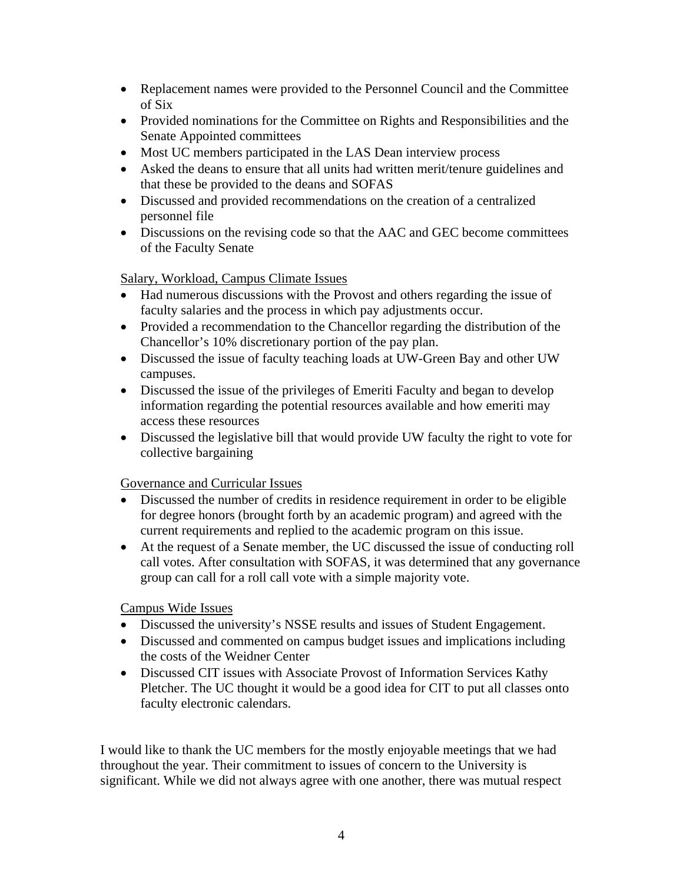- Replacement names were provided to the Personnel Council and the Committee of Six
- Provided nominations for the Committee on Rights and Responsibilities and the Senate Appointed committees
- Most UC members participated in the LAS Dean interview process
- Asked the deans to ensure that all units had written merit/tenure guidelines and that these be provided to the deans and SOFAS
- Discussed and provided recommendations on the creation of a centralized personnel file
- Discussions on the revising code so that the AAC and GEC become committees of the Faculty Senate

Salary, Workload, Campus Climate Issues

- Had numerous discussions with the Provost and others regarding the issue of faculty salaries and the process in which pay adjustments occur.
- Provided a recommendation to the Chancellor regarding the distribution of the Chancellor's 10% discretionary portion of the pay plan.
- Discussed the issue of faculty teaching loads at UW-Green Bay and other UW campuses.
- Discussed the issue of the privileges of Emeriti Faculty and began to develop information regarding the potential resources available and how emeriti may access these resources
- Discussed the legislative bill that would provide UW faculty the right to vote for collective bargaining

### Governance and Curricular Issues

- Discussed the number of credits in residence requirement in order to be eligible for degree honors (brought forth by an academic program) and agreed with the current requirements and replied to the academic program on this issue.
- At the request of a Senate member, the UC discussed the issue of conducting roll call votes. After consultation with SOFAS, it was determined that any governance group can call for a roll call vote with a simple majority vote.

### Campus Wide Issues

- Discussed the university's NSSE results and issues of Student Engagement.
- Discussed and commented on campus budget issues and implications including the costs of the Weidner Center
- Discussed CIT issues with Associate Provost of Information Services Kathy Pletcher. The UC thought it would be a good idea for CIT to put all classes onto faculty electronic calendars.

I would like to thank the UC members for the mostly enjoyable meetings that we had throughout the year. Their commitment to issues of concern to the University is significant. While we did not always agree with one another, there was mutual respect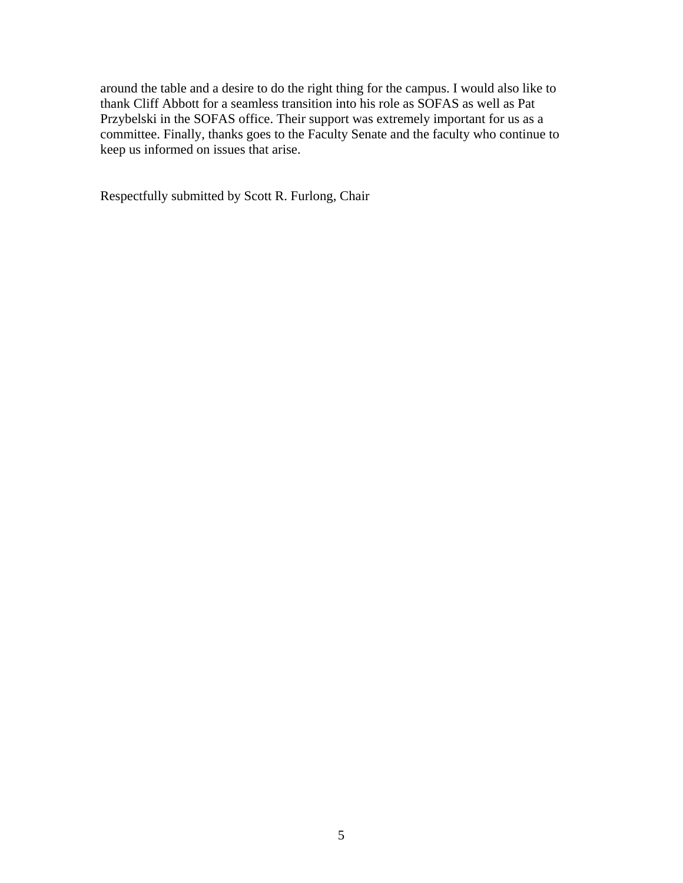around the table and a desire to do the right thing for the campus. I would also like to thank Cliff Abbott for a seamless transition into his role as SOFAS as well as Pat Przybelski in the SOFAS office. Their support was extremely important for us as a committee. Finally, thanks goes to the Faculty Senate and the faculty who continue to keep us informed on issues that arise.

Respectfully submitted by Scott R. Furlong, Chair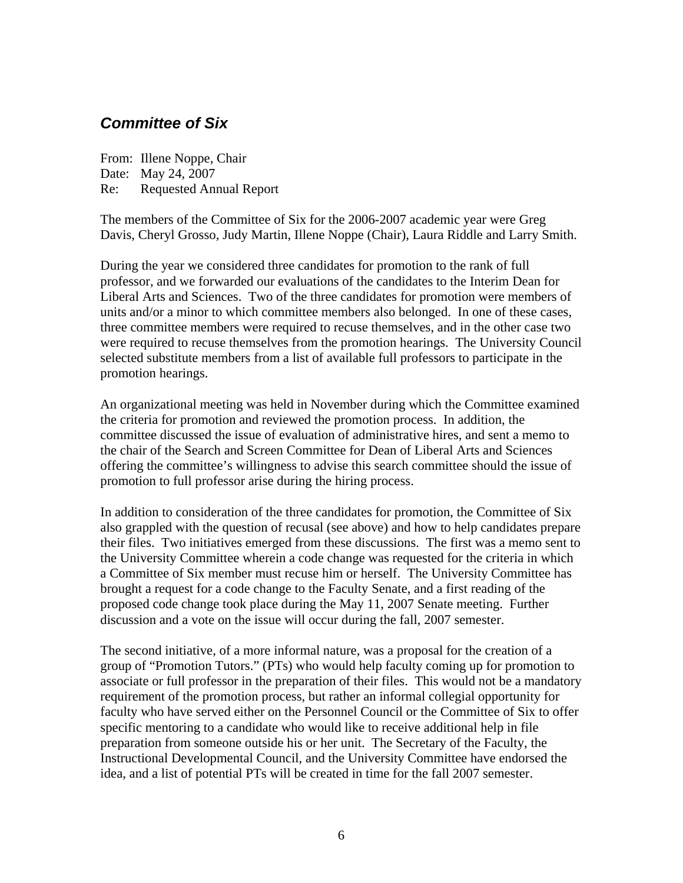## <span id="page-5-0"></span>*Committee of Six*

From: Illene Noppe, Chair Date: May 24, 2007 Re: Requested Annual Report

The members of the Committee of Six for the 2006-2007 academic year were Greg Davis, Cheryl Grosso, Judy Martin, Illene Noppe (Chair), Laura Riddle and Larry Smith.

During the year we considered three candidates for promotion to the rank of full professor, and we forwarded our evaluations of the candidates to the Interim Dean for Liberal Arts and Sciences. Two of the three candidates for promotion were members of units and/or a minor to which committee members also belonged. In one of these cases, three committee members were required to recuse themselves, and in the other case two were required to recuse themselves from the promotion hearings. The University Council selected substitute members from a list of available full professors to participate in the promotion hearings.

An organizational meeting was held in November during which the Committee examined the criteria for promotion and reviewed the promotion process. In addition, the committee discussed the issue of evaluation of administrative hires, and sent a memo to the chair of the Search and Screen Committee for Dean of Liberal Arts and Sciences offering the committee's willingness to advise this search committee should the issue of promotion to full professor arise during the hiring process.

In addition to consideration of the three candidates for promotion, the Committee of Six also grappled with the question of recusal (see above) and how to help candidates prepare their files. Two initiatives emerged from these discussions. The first was a memo sent to the University Committee wherein a code change was requested for the criteria in which a Committee of Six member must recuse him or herself. The University Committee has brought a request for a code change to the Faculty Senate, and a first reading of the proposed code change took place during the May 11, 2007 Senate meeting. Further discussion and a vote on the issue will occur during the fall, 2007 semester.

The second initiative, of a more informal nature, was a proposal for the creation of a group of "Promotion Tutors." (PTs) who would help faculty coming up for promotion to associate or full professor in the preparation of their files. This would not be a mandatory requirement of the promotion process, but rather an informal collegial opportunity for faculty who have served either on the Personnel Council or the Committee of Six to offer specific mentoring to a candidate who would like to receive additional help in file preparation from someone outside his or her unit. The Secretary of the Faculty, the Instructional Developmental Council, and the University Committee have endorsed the idea, and a list of potential PTs will be created in time for the fall 2007 semester.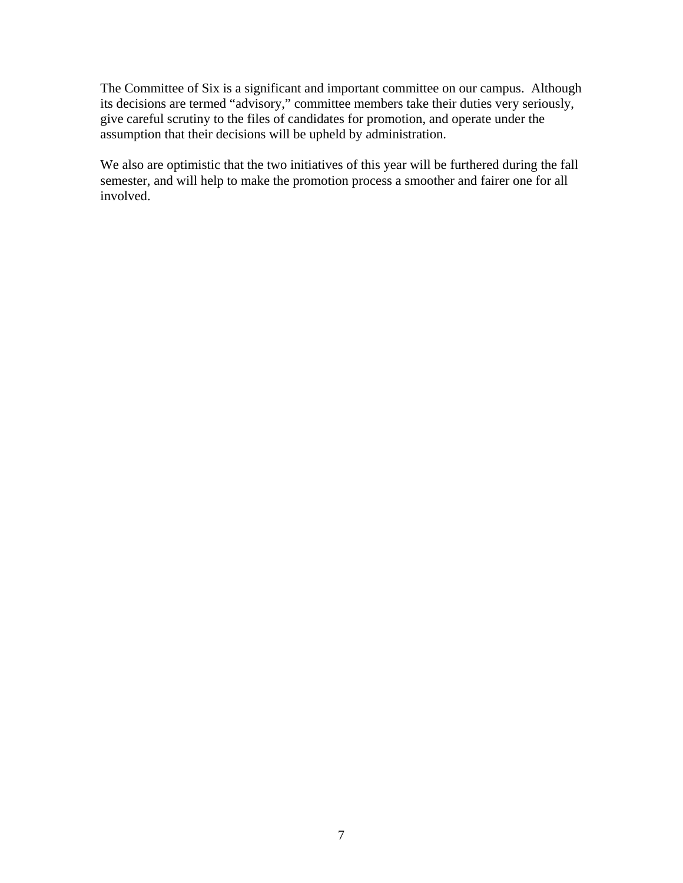The Committee of Six is a significant and important committee on our campus. Although its decisions are termed "advisory," committee members take their duties very seriously, give careful scrutiny to the files of candidates for promotion, and operate under the assumption that their decisions will be upheld by administration.

We also are optimistic that the two initiatives of this year will be furthered during the fall semester, and will help to make the promotion process a smoother and fairer one for all involved.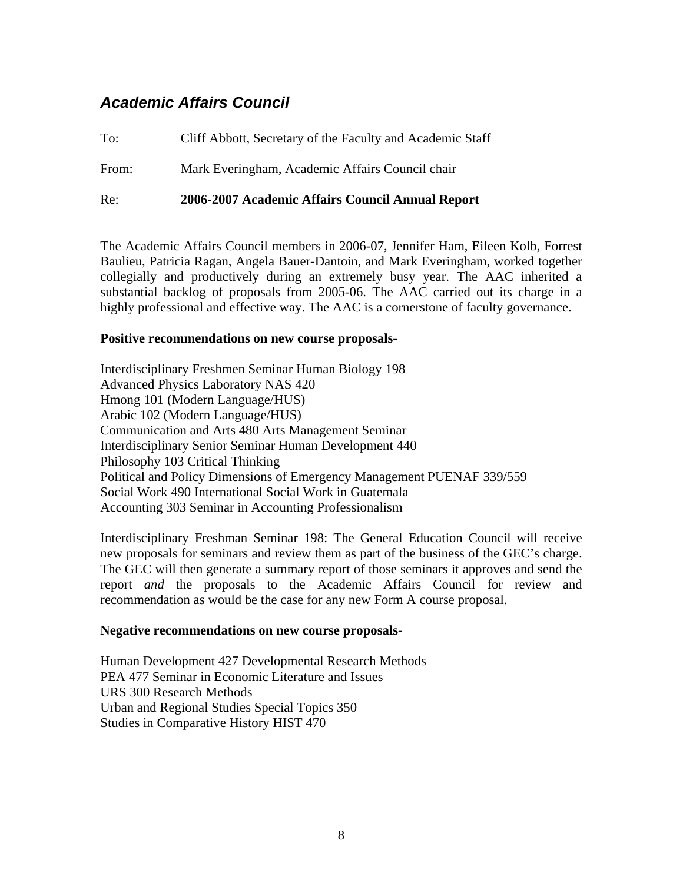## <span id="page-7-0"></span>*Academic Affairs Council*

To: Cliff Abbott, Secretary of the Faculty and Academic Staff

From: Mark Everingham, Academic Affairs Council chair

Re: **2006-2007 Academic Affairs Council Annual Report**

The Academic Affairs Council members in 2006-07, Jennifer Ham, Eileen Kolb, Forrest Baulieu, Patricia Ragan, Angela Bauer-Dantoin, and Mark Everingham, worked together collegially and productively during an extremely busy year. The AAC inherited a substantial backlog of proposals from 2005-06. The AAC carried out its charge in a highly professional and effective way. The AAC is a cornerstone of faculty governance.

### **Positive recommendations on new course proposals**-

Interdisciplinary Freshmen Seminar Human Biology 198 Advanced Physics Laboratory NAS 420 Hmong 101 (Modern Language/HUS) Arabic 102 (Modern Language/HUS) Communication and Arts 480 Arts Management Seminar Interdisciplinary Senior Seminar Human Development 440 Philosophy 103 Critical Thinking Political and Policy Dimensions of Emergency Management PUENAF 339/559 Social Work 490 International Social Work in Guatemala Accounting 303 Seminar in Accounting Professionalism

Interdisciplinary Freshman Seminar 198: The General Education Council will receive new proposals for seminars and review them as part of the business of the GEC's charge. The GEC will then generate a summary report of those seminars it approves and send the report *and* the proposals to the Academic Affairs Council for review and recommendation as would be the case for any new Form A course proposal.

#### **Negative recommendations on new course proposals-**

Human Development 427 Developmental Research Methods PEA 477 Seminar in Economic Literature and Issues URS 300 Research Methods Urban and Regional Studies Special Topics 350 Studies in Comparative History HIST 470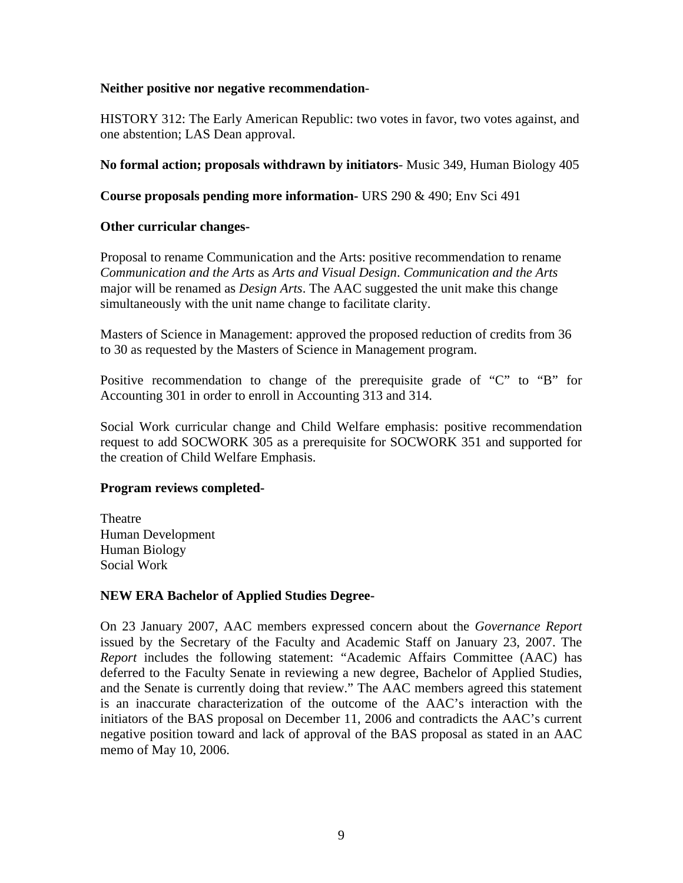### **Neither positive nor negative recommendation**-

HISTORY 312: The Early American Republic: two votes in favor, two votes against, and one abstention; LAS Dean approval.

### **No formal action; proposals withdrawn by initiators**- Music 349, Human Biology 405

**Course proposals pending more information-** URS 290 & 490; Env Sci 491

### **Other curricular changes-**

Proposal to rename Communication and the Arts: positive recommendation to rename *Communication and the Arts* as *Arts and Visual Design*. *Communication and the Arts* major will be renamed as *Design Arts*. The AAC suggested the unit make this change simultaneously with the unit name change to facilitate clarity.

Masters of Science in Management: approved the proposed reduction of credits from 36 to 30 as requested by the Masters of Science in Management program.

Positive recommendation to change of the prerequisite grade of "C" to "B" for Accounting 301 in order to enroll in Accounting 313 and 314.

Social Work curricular change and Child Welfare emphasis: positive recommendation request to add SOCWORK 305 as a prerequisite for SOCWORK 351 and supported for the creation of Child Welfare Emphasis.

### **Program reviews completed-**

**Theatre** Human Development Human Biology Social Work

### **NEW ERA Bachelor of Applied Studies Degree-**

On 23 January 2007, AAC members expressed concern about the *Governance Report* issued by the Secretary of the Faculty and Academic Staff on January 23, 2007. The *Report* includes the following statement: "Academic Affairs Committee (AAC) has deferred to the Faculty Senate in reviewing a new degree, Bachelor of Applied Studies, and the Senate is currently doing that review." The AAC members agreed this statement is an inaccurate characterization of the outcome of the AAC's interaction with the initiators of the BAS proposal on December 11, 2006 and contradicts the AAC's current negative position toward and lack of approval of the BAS proposal as stated in an AAC memo of May 10, 2006.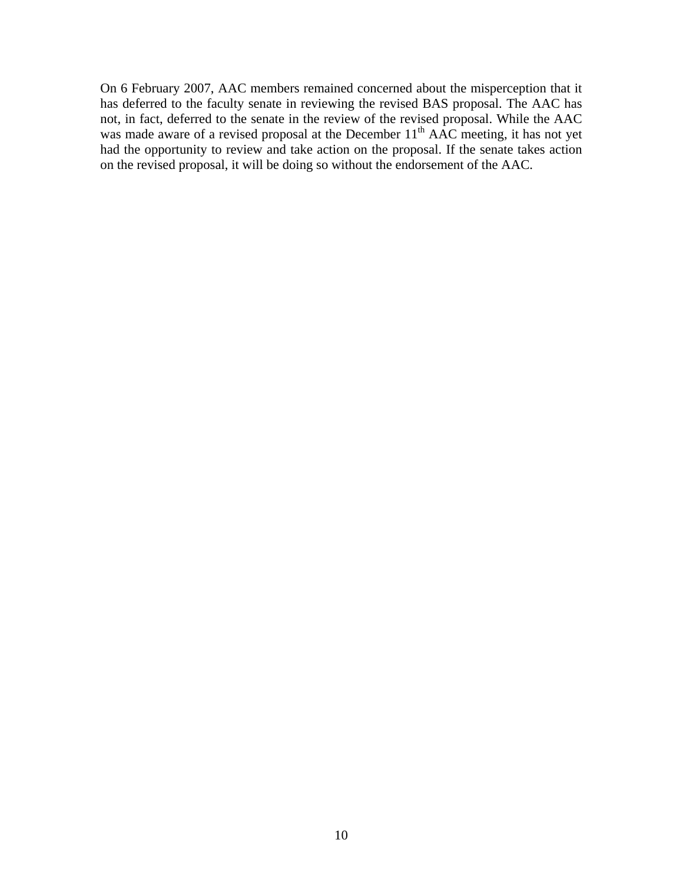On 6 February 2007, AAC members remained concerned about the misperception that it has deferred to the faculty senate in reviewing the revised BAS proposal. The AAC has not, in fact, deferred to the senate in the review of the revised proposal. While the AAC was made aware of a revised proposal at the December  $11<sup>th</sup>$  AAC meeting, it has not yet had the opportunity to review and take action on the proposal. If the senate takes action on the revised proposal, it will be doing so without the endorsement of the AAC.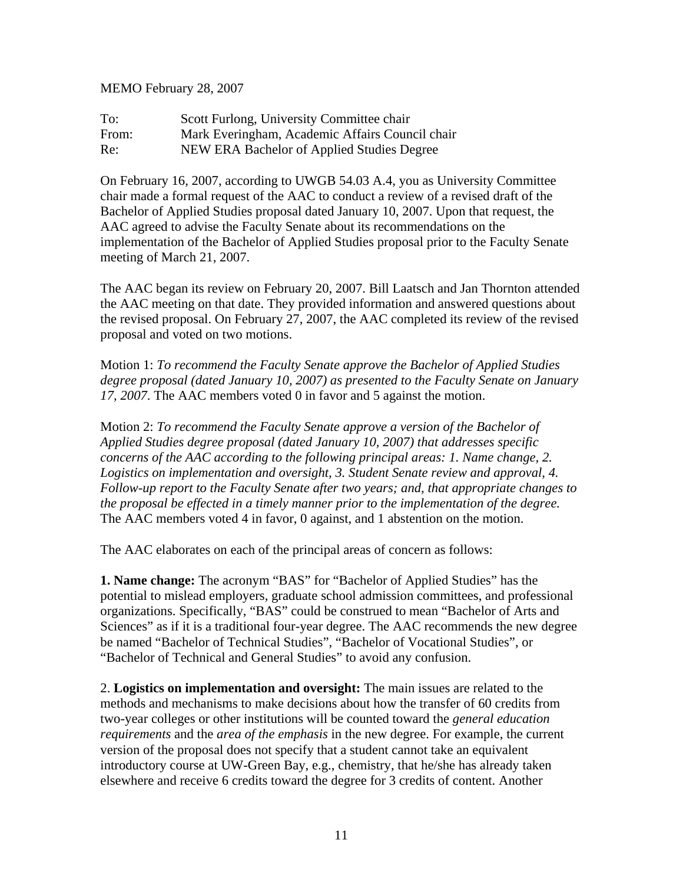MEMO February 28, 2007

To: Scott Furlong, University Committee chair From: Mark Everingham, Academic Affairs Council chair Re: NEW ERA Bachelor of Applied Studies Degree

On February 16, 2007, according to UWGB 54.03 A.4, you as University Committee chair made a formal request of the AAC to conduct a review of a revised draft of the Bachelor of Applied Studies proposal dated January 10, 2007. Upon that request, the AAC agreed to advise the Faculty Senate about its recommendations on the implementation of the Bachelor of Applied Studies proposal prior to the Faculty Senate meeting of March 21, 2007.

The AAC began its review on February 20, 2007. Bill Laatsch and Jan Thornton attended the AAC meeting on that date. They provided information and answered questions about the revised proposal. On February 27, 2007, the AAC completed its review of the revised proposal and voted on two motions.

Motion 1: *To recommend the Faculty Senate approve the Bachelor of Applied Studies degree proposal (dated January 10, 2007) as presented to the Faculty Senate on January 17, 2007*. The AAC members voted 0 in favor and 5 against the motion.

Motion 2: *To recommend the Faculty Senate approve a version of the Bachelor of Applied Studies degree proposal (dated January 10, 2007) that addresses specific concerns of the AAC according to the following principal areas: 1. Name change, 2. Logistics on implementation and oversight, 3. Student Senate review and approval, 4. Follow-up report to the Faculty Senate after two years; and, that appropriate changes to the proposal be effected in a timely manner prior to the implementation of the degree.* The AAC members voted 4 in favor, 0 against, and 1 abstention on the motion.

The AAC elaborates on each of the principal areas of concern as follows:

**1. Name change:** The acronym "BAS" for "Bachelor of Applied Studies" has the potential to mislead employers, graduate school admission committees, and professional organizations. Specifically, "BAS" could be construed to mean "Bachelor of Arts and Sciences" as if it is a traditional four-year degree. The AAC recommends the new degree be named "Bachelor of Technical Studies", "Bachelor of Vocational Studies", or "Bachelor of Technical and General Studies" to avoid any confusion.

2. **Logistics on implementation and oversight:** The main issues are related to the methods and mechanisms to make decisions about how the transfer of 60 credits from two-year colleges or other institutions will be counted toward the *general education requirements* and the *area of the emphasis* in the new degree. For example, the current version of the proposal does not specify that a student cannot take an equivalent introductory course at UW-Green Bay, e.g., chemistry, that he/she has already taken elsewhere and receive 6 credits toward the degree for 3 credits of content. Another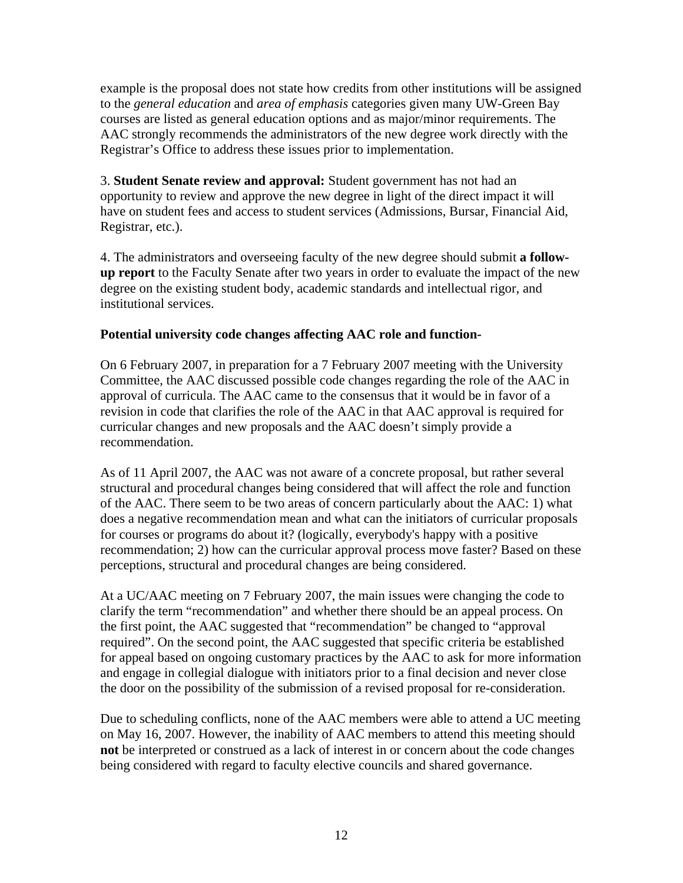example is the proposal does not state how credits from other institutions will be assigned to the *general education* and *area of emphasis* categories given many UW-Green Bay courses are listed as general education options and as major/minor requirements. The AAC strongly recommends the administrators of the new degree work directly with the Registrar's Office to address these issues prior to implementation.

3. **Student Senate review and approval:** Student government has not had an opportunity to review and approve the new degree in light of the direct impact it will have on student fees and access to student services (Admissions, Bursar, Financial Aid, Registrar, etc.).

4. The administrators and overseeing faculty of the new degree should submit **a followup report** to the Faculty Senate after two years in order to evaluate the impact of the new degree on the existing student body, academic standards and intellectual rigor, and institutional services.

### **Potential university code changes affecting AAC role and function-**

On 6 February 2007, in preparation for a 7 February 2007 meeting with the University Committee, the AAC discussed possible code changes regarding the role of the AAC in approval of curricula. The AAC came to the consensus that it would be in favor of a revision in code that clarifies the role of the AAC in that AAC approval is required for curricular changes and new proposals and the AAC doesn't simply provide a recommendation.

As of 11 April 2007, the AAC was not aware of a concrete proposal, but rather several structural and procedural changes being considered that will affect the role and function of the AAC. There seem to be two areas of concern particularly about the AAC: 1) what does a negative recommendation mean and what can the initiators of curricular proposals for courses or programs do about it? (logically, everybody's happy with a positive recommendation; 2) how can the curricular approval process move faster? Based on these perceptions, structural and procedural changes are being considered.

At a UC/AAC meeting on 7 February 2007, the main issues were changing the code to clarify the term "recommendation" and whether there should be an appeal process. On the first point, the AAC suggested that "recommendation" be changed to "approval required". On the second point, the AAC suggested that specific criteria be established for appeal based on ongoing customary practices by the AAC to ask for more information and engage in collegial dialogue with initiators prior to a final decision and never close the door on the possibility of the submission of a revised proposal for re-consideration.

Due to scheduling conflicts, none of the AAC members were able to attend a UC meeting on May 16, 2007. However, the inability of AAC members to attend this meeting should **not** be interpreted or construed as a lack of interest in or concern about the code changes being considered with regard to faculty elective councils and shared governance.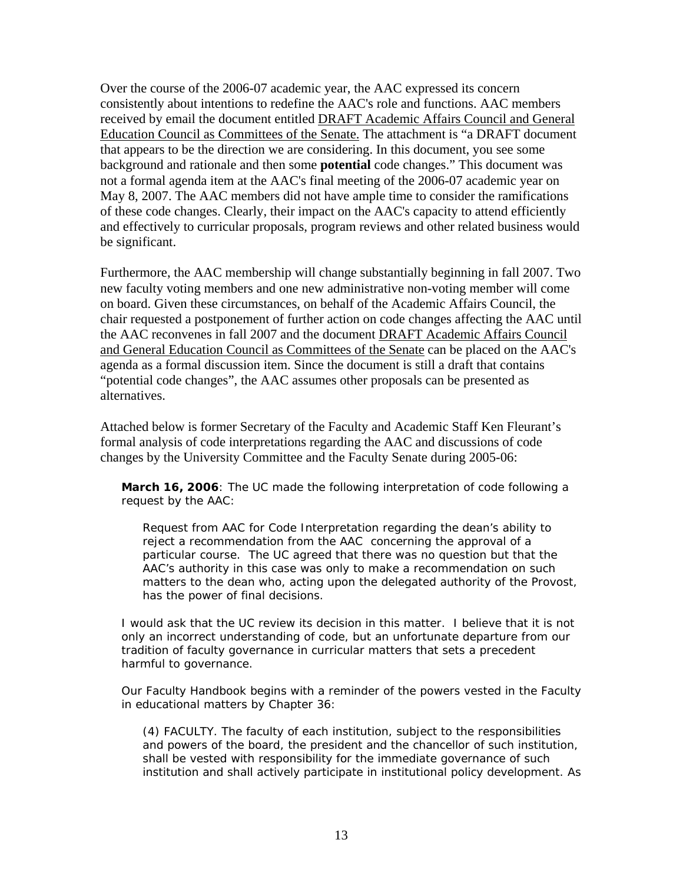Over the course of the 2006-07 academic year, the AAC expressed its concern consistently about intentions to redefine the AAC's role and functions. AAC members received by email the document entitled DRAFT Academic Affairs Council and General Education Council as Committees of the Senate. The attachment is "a DRAFT document that appears to be the direction we are considering. In this document, you see some background and rationale and then some **potential** code changes." This document was not a formal agenda item at the AAC's final meeting of the 2006-07 academic year on May 8, 2007. The AAC members did not have ample time to consider the ramifications of these code changes. Clearly, their impact on the AAC's capacity to attend efficiently and effectively to curricular proposals, program reviews and other related business would be significant.

Furthermore, the AAC membership will change substantially beginning in fall 2007. Two new faculty voting members and one new administrative non-voting member will come on board. Given these circumstances, on behalf of the Academic Affairs Council, the chair requested a postponement of further action on code changes affecting the AAC until the AAC reconvenes in fall 2007 and the document DRAFT Academic Affairs Council and General Education Council as Committees of the Senate can be placed on the AAC's agenda as a formal discussion item. Since the document is still a draft that contains "potential code changes", the AAC assumes other proposals can be presented as alternatives.

Attached below is former Secretary of the Faculty and Academic Staff Ken Fleurant's formal analysis of code interpretations regarding the AAC and discussions of code changes by the University Committee and the Faculty Senate during 2005-06:

**March 16, 2006***: The UC made the following interpretation of code following a request by the AAC:*

*Request from AAC for Code Interpretation regarding the dean's ability to reject a recommendation from the AAC concerning the approval of a particular course. The UC agreed that there was no question but that the AAC's authority in this case was only to make a recommendation on such matters to the dean who, acting upon the delegated authority of the Provost, has the power of final decisions.* 

*I would ask that the UC review its decision in this matter. I believe that it is not only an incorrect understanding of code, but an unfortunate departure from our tradition of faculty governance in curricular matters that sets a precedent harmful to governance.* 

*Our Faculty Handbook begins with a reminder of the powers vested in the Faculty in educational matters by Chapter 36:* 

*(4) FACULTY. The faculty of each institution, subject to the responsibilities and powers of the board, the president and the chancellor of such institution, shall be vested with responsibility for the immediate governance of such institution and shall actively participate in institutional policy development. As*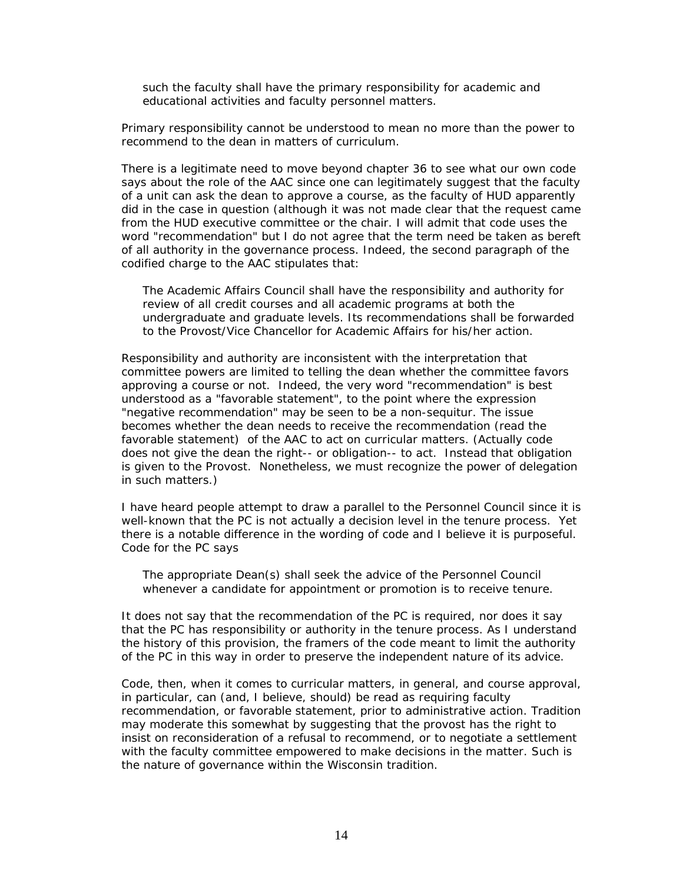*such the faculty shall have the primary responsibility for academic and educational activities and faculty personnel matters.* 

*Primary responsibility cannot be understood to mean no more than the power to recommend to the dean in matters of curriculum.* 

*There is a legitimate need to move beyond chapter 36 to see what our own code says about the role of the AAC since one can legitimately suggest that the faculty of a unit can ask the dean to approve a course, as the faculty of HUD apparently did in the case in question (although it was not made clear that the request came from the HUD executive committee or the chair. I will admit that code uses the word "recommendation" but I do not agree that the term need be taken as bereft of all authority in the governance process. Indeed, the second paragraph of the codified charge to the AAC stipulates that:* 

*The Academic Affairs Council shall have the responsibility and authority for review of all credit courses and all academic programs at both the undergraduate and graduate levels. Its recommendations shall be forwarded to the Provost/Vice Chancellor for Academic Affairs for his/her action.* 

*Responsibility and authority are inconsistent with the interpretation that committee powers are limited to telling the dean whether the committee favors approving a course or not. Indeed, the very word "recommendation" is best understood as a "favorable statement", to the point where the expression "negative recommendation" may be seen to be a non-sequitur. The issue becomes whether the dean needs to receive the recommendation (read the favorable statement) of the AAC to act on curricular matters. (Actually code does not give the dean the right-- or obligation-- to act. Instead that obligation is given to the Provost. Nonetheless, we must recognize the power of delegation in such matters.)* 

*I have heard people attempt to draw a parallel to the Personnel Council since it is well-known that the PC is not actually a decision level in the tenure process. Yet there is a notable difference in the wording of code and I believe it is purposeful. Code for the PC says* 

*The appropriate Dean(s) shall seek the advice of the Personnel Council whenever a candidate for appointment or promotion is to receive tenure.* 

*It does not say that the recommendation of the PC is required, nor does it say that the PC has responsibility or authority in the tenure process. As I understand the history of this provision, the framers of the code meant to limit the authority of the PC in this way in order to preserve the independent nature of its advice.* 

*Code, then, when it comes to curricular matters, in general, and course approval, in particular, can (and, I believe, should) be read as requiring faculty recommendation, or favorable statement, prior to administrative action. Tradition may moderate this somewhat by suggesting that the provost has the right to insist on reconsideration of a refusal to recommend, or to negotiate a settlement with the faculty committee empowered to make decisions in the matter. Such is the nature of governance within the Wisconsin tradition.*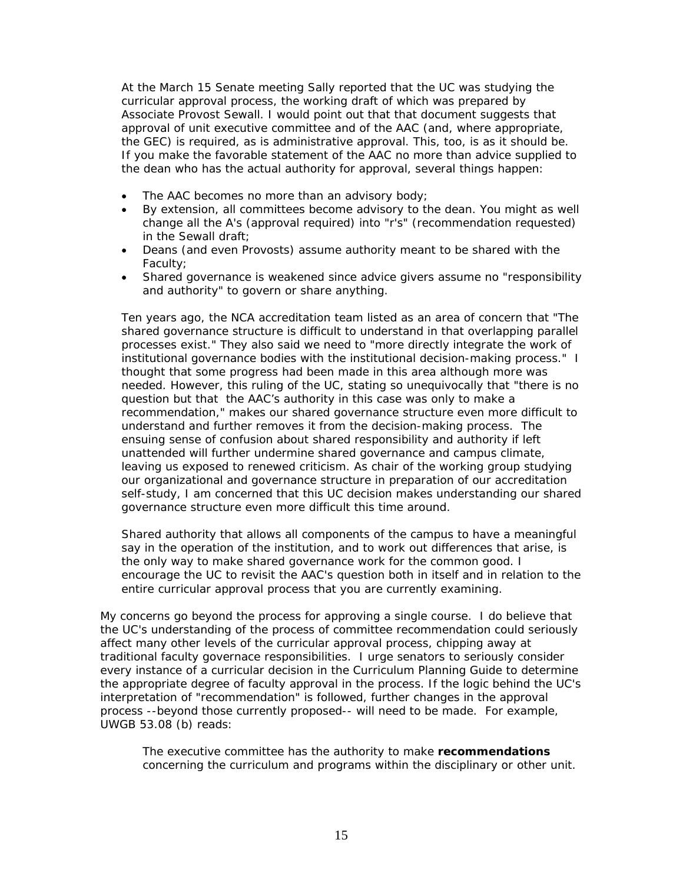*At the March 15 Senate meeting Sally reported that the UC was studying the curricular approval process, the working draft of which was prepared by Associate Provost Sewall. I would point out that that document suggests that approval of unit executive committee and of the AAC (and, where appropriate, the GEC) is required, as is administrative approval. This, too, is as it should be. If you make the favorable statement of the AAC no more than advice supplied to the dean who has the actual authority for approval, several things happen:* 

- *The AAC becomes no more than an advisory body;*
- *By extension, all committees become advisory to the dean. You might as well change all the A's (approval required) into "r's" (recommendation requested) in the Sewall draft;*
- *Deans (and even Provosts) assume authority meant to be shared with the Faculty;*
- *Shared governance is weakened since advice givers assume no "responsibility and authority" to govern or share anything.*

*Ten years ago, the NCA accreditation team listed as an area of concern that "The shared governance structure is difficult to understand in that overlapping parallel processes exist." They also said we need to "more directly integrate the work of institutional governance bodies with the institutional decision-making process." I thought that some progress had been made in this area although more was needed. However, this ruling of the UC, stating so unequivocally that "there is no question but that the AAC's authority in this case was only to make a recommendation," makes our shared governance structure even more difficult to understand and further removes it from the decision-making process. The ensuing sense of confusion about shared responsibility and authority if left unattended will further undermine shared governance and campus climate, leaving us exposed to renewed criticism. As chair of the working group studying our organizational and governance structure in preparation of our accreditation self-study, I am concerned that this UC decision makes understanding our shared governance structure even more difficult this time around.*

*Shared authority that allows all components of the campus to have a meaningful say in the operation of the institution, and to work out differences that arise, is the only way to make shared governance work for the common good. I encourage the UC to revisit the AAC's question both in itself and in relation to the entire curricular approval process that you are currently examining.*

*My concerns go beyond the process for approving a single course. I do believe that the UC's understanding of the process of committee recommendation could seriously affect many other levels of the curricular approval process, chipping away at traditional faculty governace responsibilities. I urge senators to seriously consider every instance of a curricular decision in the Curriculum Planning Guide to determine the appropriate degree of faculty approval in the process. If the logic behind the UC's interpretation of "recommendation" is followed, further changes in the approval process --beyond those currently proposed-- will need to be made. For example, UWGB 53.08 (b) reads:* 

*The executive committee has the authority to make recommendations concerning the curriculum and programs within the disciplinary or other unit.*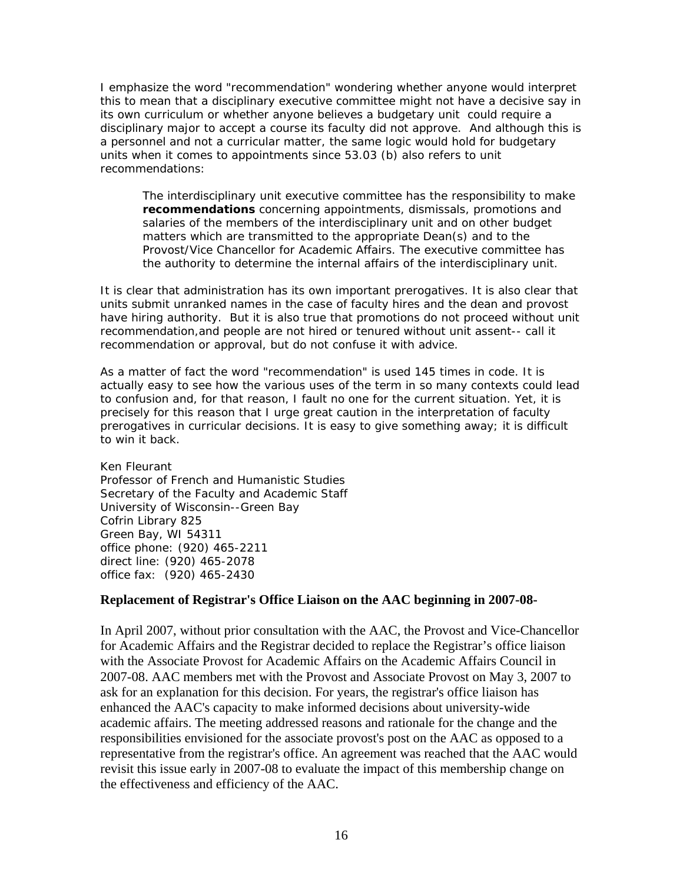*I emphasize the word "recommendation" wondering whether anyone would interpret this to mean that a disciplinary executive committee might not have a decisive say in its own curriculum or whether anyone believes a budgetary unit could require a disciplinary major to accept a course its faculty did not approve. And although this is a personnel and not a curricular matter, the same logic would hold for budgetary units when it comes to appointments since 53.03 (b) also refers to unit recommendations:* 

*The interdisciplinary unit executive committee has the responsibility to make recommendations concerning appointments, dismissals, promotions and salaries of the members of the interdisciplinary unit and on other budget matters which are transmitted to the appropriate Dean(s) and to the Provost/Vice Chancellor for Academic Affairs. The executive committee has the authority to determine the internal affairs of the interdisciplinary unit.* 

*It is clear that administration has its own important prerogatives. It is also clear that units submit unranked names in the case of faculty hires and the dean and provost have hiring authority. But it is also true that promotions do not proceed without unit recommendation,and people are not hired or tenured without unit assent-- call it recommendation or approval, but do not confuse it with advice.* 

*As a matter of fact the word "recommendation" is used 145 times in code. It is actually easy to see how the various uses of the term in so many contexts could lead to confusion and, for that reason, I fault no one for the current situation. Yet, it is precisely for this reason that I urge great caution in the interpretation of faculty prerogatives in curricular decisions. It is easy to give something away; it is difficult to win it back.* 

*Ken Fleurant Professor of French and Humanistic Studies Secretary of the Faculty and Academic Staff University of Wisconsin--Green Bay Cofrin Library 825 Green Bay, WI 54311 office phone: (920) 465-2211 direct line: (920) 465-2078 office fax: (920) 465-2430* 

### **Replacement of Registrar's Office Liaison on the AAC beginning in 2007-08-**

In April 2007, without prior consultation with the AAC, the Provost and Vice-Chancellor for Academic Affairs and the Registrar decided to replace the Registrar's office liaison with the Associate Provost for Academic Affairs on the Academic Affairs Council in 2007-08. AAC members met with the Provost and Associate Provost on May 3, 2007 to ask for an explanation for this decision. For years, the registrar's office liaison has enhanced the AAC's capacity to make informed decisions about university-wide academic affairs. The meeting addressed reasons and rationale for the change and the responsibilities envisioned for the associate provost's post on the AAC as opposed to a representative from the registrar's office. An agreement was reached that the AAC would revisit this issue early in 2007-08 to evaluate the impact of this membership change on the effectiveness and efficiency of the AAC.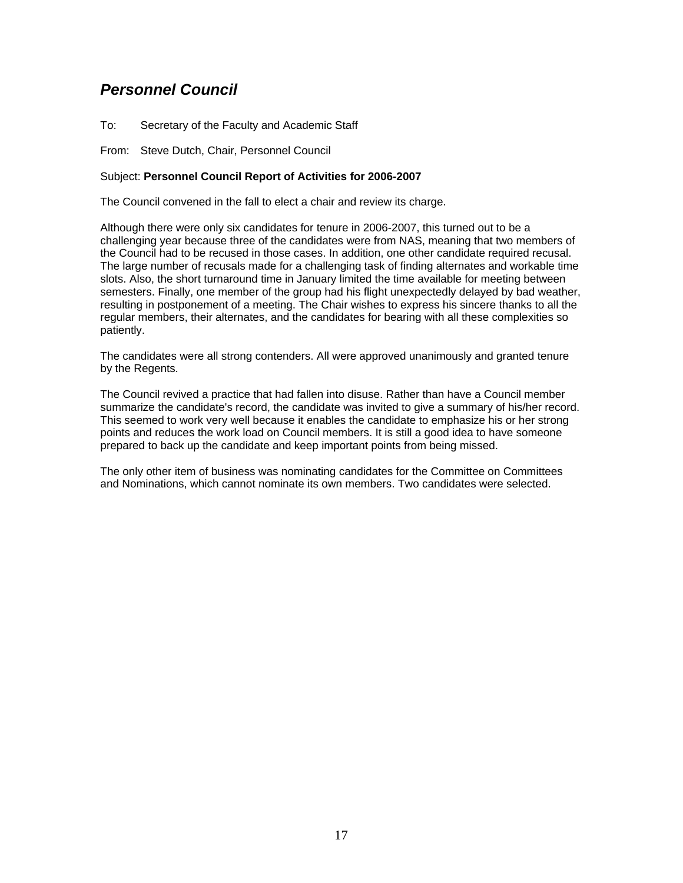## <span id="page-16-0"></span>*Personnel Council*

To: Secretary of the Faculty and Academic Staff

From: Steve Dutch, Chair, Personnel Council

#### Subject: **Personnel Council Report of Activities for 2006-2007**

The Council convened in the fall to elect a chair and review its charge.

Although there were only six candidates for tenure in 2006-2007, this turned out to be a challenging year because three of the candidates were from NAS, meaning that two members of the Council had to be recused in those cases. In addition, one other candidate required recusal. The large number of recusals made for a challenging task of finding alternates and workable time slots. Also, the short turnaround time in January limited the time available for meeting between semesters. Finally, one member of the group had his flight unexpectedly delayed by bad weather, resulting in postponement of a meeting. The Chair wishes to express his sincere thanks to all the regular members, their alternates, and the candidates for bearing with all these complexities so patiently.

The candidates were all strong contenders. All were approved unanimously and granted tenure by the Regents.

The Council revived a practice that had fallen into disuse. Rather than have a Council member summarize the candidate's record, the candidate was invited to give a summary of his/her record. This seemed to work very well because it enables the candidate to emphasize his or her strong points and reduces the work load on Council members. It is still a good idea to have someone prepared to back up the candidate and keep important points from being missed.

The only other item of business was nominating candidates for the Committee on Committees and Nominations, which cannot nominate its own members. Two candidates were selected.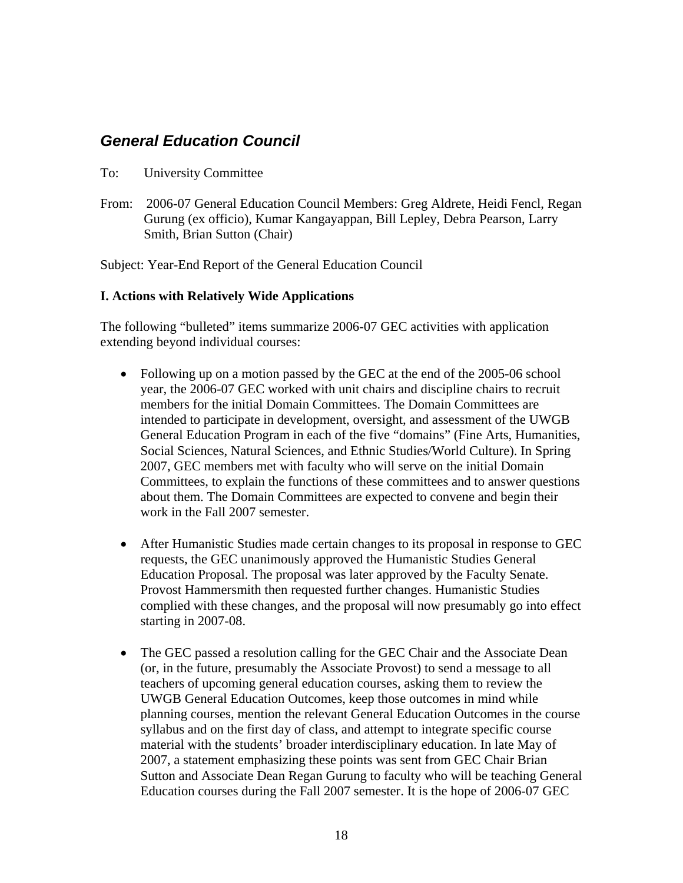## <span id="page-17-0"></span>*General Education Council*

- To: University Committee
- From: 2006-07 General Education Council Members: Greg Aldrete, Heidi Fencl, Regan Gurung (ex officio), Kumar Kangayappan, Bill Lepley, Debra Pearson, Larry Smith, Brian Sutton (Chair)

Subject: Year-End Report of the General Education Council

### **I. Actions with Relatively Wide Applications**

The following "bulleted" items summarize 2006-07 GEC activities with application extending beyond individual courses:

- Following up on a motion passed by the GEC at the end of the 2005-06 school year, the 2006-07 GEC worked with unit chairs and discipline chairs to recruit members for the initial Domain Committees. The Domain Committees are intended to participate in development, oversight, and assessment of the UWGB General Education Program in each of the five "domains" (Fine Arts, Humanities, Social Sciences, Natural Sciences, and Ethnic Studies/World Culture). In Spring 2007, GEC members met with faculty who will serve on the initial Domain Committees, to explain the functions of these committees and to answer questions about them. The Domain Committees are expected to convene and begin their work in the Fall 2007 semester.
- After Humanistic Studies made certain changes to its proposal in response to GEC requests, the GEC unanimously approved the Humanistic Studies General Education Proposal. The proposal was later approved by the Faculty Senate. Provost Hammersmith then requested further changes. Humanistic Studies complied with these changes, and the proposal will now presumably go into effect starting in 2007-08.
- The GEC passed a resolution calling for the GEC Chair and the Associate Dean (or, in the future, presumably the Associate Provost) to send a message to all teachers of upcoming general education courses, asking them to review the UWGB General Education Outcomes, keep those outcomes in mind while planning courses, mention the relevant General Education Outcomes in the course syllabus and on the first day of class, and attempt to integrate specific course material with the students' broader interdisciplinary education. In late May of 2007, a statement emphasizing these points was sent from GEC Chair Brian Sutton and Associate Dean Regan Gurung to faculty who will be teaching General Education courses during the Fall 2007 semester. It is the hope of 2006-07 GEC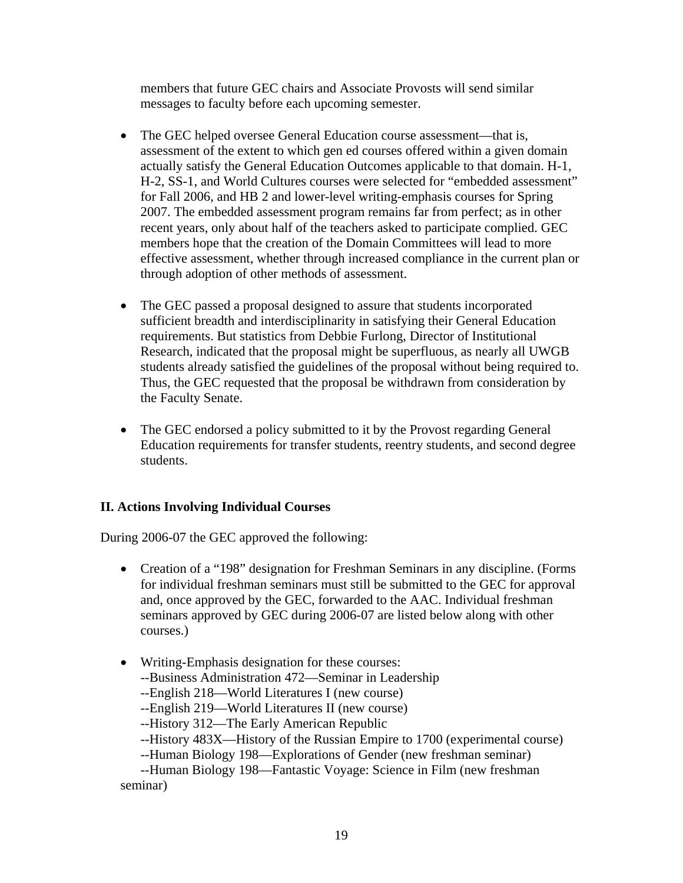members that future GEC chairs and Associate Provosts will send similar messages to faculty before each upcoming semester.

- The GEC helped oversee General Education course assessment—that is, assessment of the extent to which gen ed courses offered within a given domain actually satisfy the General Education Outcomes applicable to that domain. H-1, H-2, SS-1, and World Cultures courses were selected for "embedded assessment" for Fall 2006, and HB 2 and lower-level writing-emphasis courses for Spring 2007. The embedded assessment program remains far from perfect; as in other recent years, only about half of the teachers asked to participate complied. GEC members hope that the creation of the Domain Committees will lead to more effective assessment, whether through increased compliance in the current plan or through adoption of other methods of assessment.
- The GEC passed a proposal designed to assure that students incorporated sufficient breadth and interdisciplinarity in satisfying their General Education requirements. But statistics from Debbie Furlong, Director of Institutional Research, indicated that the proposal might be superfluous, as nearly all UWGB students already satisfied the guidelines of the proposal without being required to. Thus, the GEC requested that the proposal be withdrawn from consideration by the Faculty Senate.
- The GEC endorsed a policy submitted to it by the Provost regarding General Education requirements for transfer students, reentry students, and second degree students.

### **II. Actions Involving Individual Courses**

During 2006-07 the GEC approved the following:

- Creation of a "198" designation for Freshman Seminars in any discipline. (Forms for individual freshman seminars must still be submitted to the GEC for approval and, once approved by the GEC, forwarded to the AAC. Individual freshman seminars approved by GEC during 2006-07 are listed below along with other courses.)
- Writing-Emphasis designation for these courses:
	- --Business Administration 472—Seminar in Leadership
	- --English 218—World Literatures I (new course)
	- --English 219—World Literatures II (new course)
	- --History 312—The Early American Republic
	- --History 483X—History of the Russian Empire to 1700 (experimental course)
	- --Human Biology 198—Explorations of Gender (new freshman seminar)

--Human Biology 198—Fantastic Voyage: Science in Film (new freshman seminar)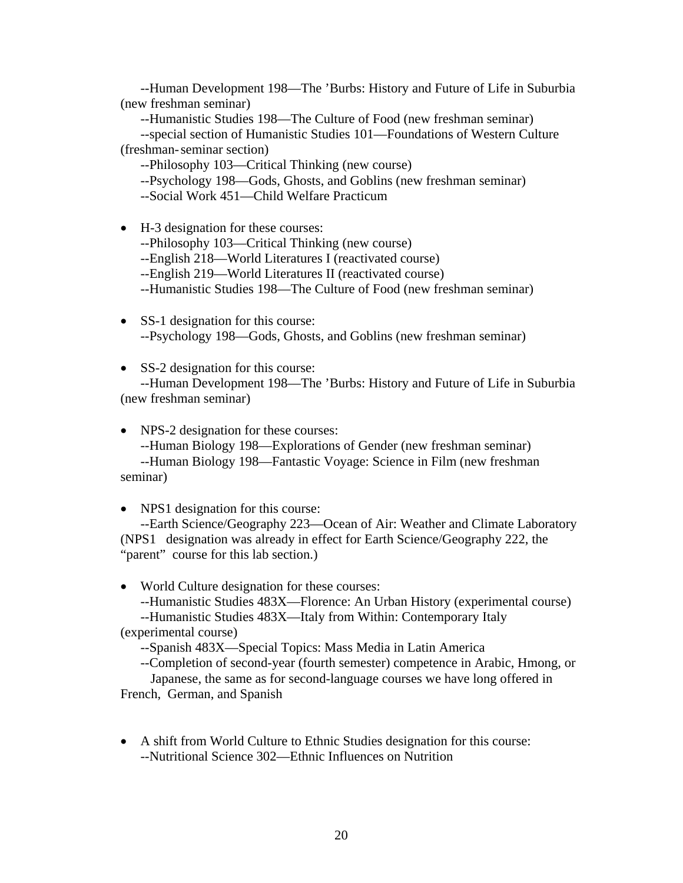--Human Development 198—The 'Burbs: History and Future of Life in Suburbia (new freshman seminar)

--Humanistic Studies 198—The Culture of Food (new freshman seminar)

--special section of Humanistic Studies 101—Foundations of Western Culture (freshman- seminar section)

--Philosophy 103—Critical Thinking (new course)

--Psychology 198—Gods, Ghosts, and Goblins (new freshman seminar)

--Social Work 451—Child Welfare Practicum

- H-3 designation for these courses: --Philosophy 103—Critical Thinking (new course) --English 218—World Literatures I (reactivated course) --English 219—World Literatures II (reactivated course) --Humanistic Studies 198—The Culture of Food (new freshman seminar)
- SS-1 designation for this course: --Psychology 198—Gods, Ghosts, and Goblins (new freshman seminar)

• SS-2 designation for this course:

--Human Development 198—The 'Burbs: History and Future of Life in Suburbia (new freshman seminar)

• NPS-2 designation for these courses:

--Human Biology 198—Explorations of Gender (new freshman seminar) --Human Biology 198—Fantastic Voyage: Science in Film (new freshman seminar)

• NPS1 designation for this course:

--Earth Science/Geography 223—Ocean of Air: Weather and Climate Laboratory (NPS1 designation was already in effect for Earth Science/Geography 222, the "parent" course for this lab section.)

• World Culture designation for these courses:

--Humanistic Studies 483X—Florence: An Urban History (experimental course) --Humanistic Studies 483X—Italy from Within: Contemporary Italy

(experimental course)

--Spanish 483X—Special Topics: Mass Media in Latin America

--Completion of second-year (fourth semester) competence in Arabic, Hmong, or

 Japanese, the same as for second-language courses we have long offered in French, German, and Spanish

• A shift from World Culture to Ethnic Studies designation for this course: --Nutritional Science 302—Ethnic Influences on Nutrition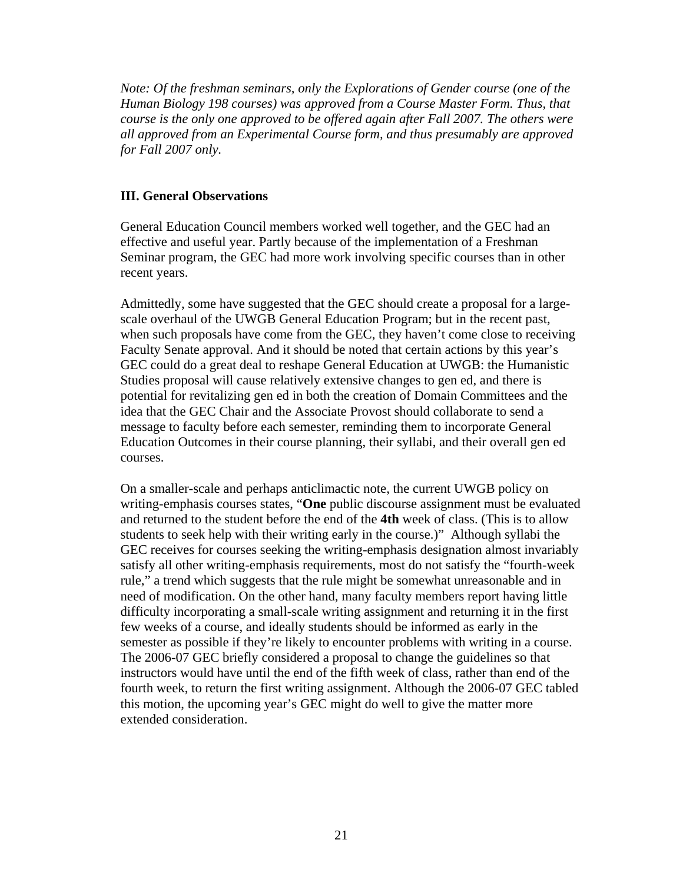*Note: Of the freshman seminars, only the Explorations of Gender course (one of the Human Biology 198 courses) was approved from a Course Master Form. Thus, that course is the only one approved to be offered again after Fall 2007. The others were all approved from an Experimental Course form, and thus presumably are approved for Fall 2007 only.*

### **III. General Observations**

General Education Council members worked well together, and the GEC had an effective and useful year. Partly because of the implementation of a Freshman Seminar program, the GEC had more work involving specific courses than in other recent years.

Admittedly, some have suggested that the GEC should create a proposal for a largescale overhaul of the UWGB General Education Program; but in the recent past, when such proposals have come from the GEC, they haven't come close to receiving Faculty Senate approval. And it should be noted that certain actions by this year's GEC could do a great deal to reshape General Education at UWGB: the Humanistic Studies proposal will cause relatively extensive changes to gen ed, and there is potential for revitalizing gen ed in both the creation of Domain Committees and the idea that the GEC Chair and the Associate Provost should collaborate to send a message to faculty before each semester, reminding them to incorporate General Education Outcomes in their course planning, their syllabi, and their overall gen ed courses.

On a smaller-scale and perhaps anticlimactic note, the current UWGB policy on writing-emphasis courses states, "**One** public discourse assignment must be evaluated and returned to the student before the end of the **4th** week of class. (This is to allow students to seek help with their writing early in the course.)" Although syllabi the GEC receives for courses seeking the writing-emphasis designation almost invariably satisfy all other writing-emphasis requirements, most do not satisfy the "fourth-week rule," a trend which suggests that the rule might be somewhat unreasonable and in need of modification. On the other hand, many faculty members report having little difficulty incorporating a small-scale writing assignment and returning it in the first few weeks of a course, and ideally students should be informed as early in the semester as possible if they're likely to encounter problems with writing in a course. The 2006-07 GEC briefly considered a proposal to change the guidelines so that instructors would have until the end of the fifth week of class, rather than end of the fourth week, to return the first writing assignment. Although the 2006-07 GEC tabled this motion, the upcoming year's GEC might do well to give the matter more extended consideration.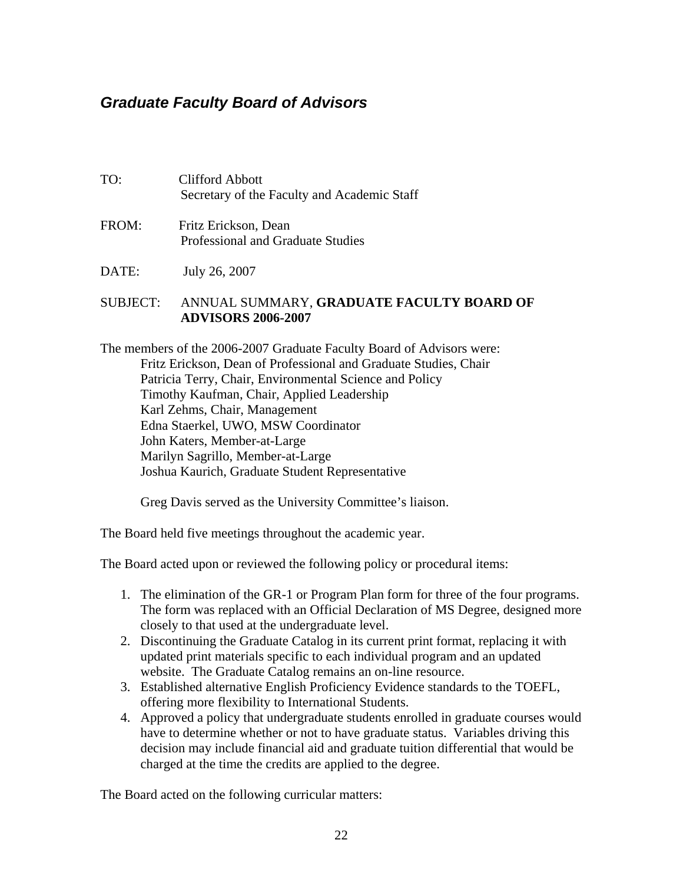## <span id="page-21-0"></span>*Graduate Faculty Board of Advisors*

| TO:      | <b>Clifford Abbott</b><br>Secretary of the Faculty and Academic Staff |
|----------|-----------------------------------------------------------------------|
| FROM:    | Fritz Erickson, Dean<br><b>Professional and Graduate Studies</b>      |
| DATE:    | July 26, 2007                                                         |
| SUBJECT: | ANNUAL SUMMARY, GRADUATE FACULTY BOARD OF                             |

**ADVISORS 2006-2007** 

The members of the 2006-2007 Graduate Faculty Board of Advisors were: Fritz Erickson, Dean of Professional and Graduate Studies, Chair Patricia Terry, Chair, Environmental Science and Policy Timothy Kaufman, Chair, Applied Leadership Karl Zehms, Chair, Management Edna Staerkel, UWO, MSW Coordinator John Katers, Member-at-Large Marilyn Sagrillo, Member-at-Large Joshua Kaurich, Graduate Student Representative

Greg Davis served as the University Committee's liaison.

The Board held five meetings throughout the academic year.

The Board acted upon or reviewed the following policy or procedural items:

- 1. The elimination of the GR-1 or Program Plan form for three of the four programs. The form was replaced with an Official Declaration of MS Degree, designed more closely to that used at the undergraduate level.
- 2. Discontinuing the Graduate Catalog in its current print format, replacing it with updated print materials specific to each individual program and an updated website. The Graduate Catalog remains an on-line resource.
- 3. Established alternative English Proficiency Evidence standards to the TOEFL, offering more flexibility to International Students.
- 4. Approved a policy that undergraduate students enrolled in graduate courses would have to determine whether or not to have graduate status. Variables driving this decision may include financial aid and graduate tuition differential that would be charged at the time the credits are applied to the degree.

The Board acted on the following curricular matters: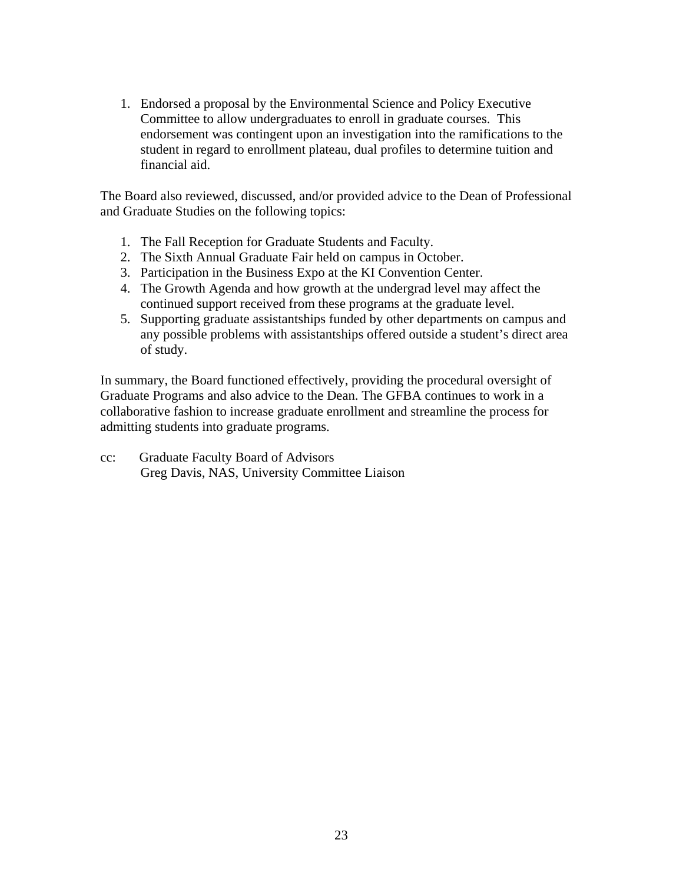1. Endorsed a proposal by the Environmental Science and Policy Executive Committee to allow undergraduates to enroll in graduate courses. This endorsement was contingent upon an investigation into the ramifications to the student in regard to enrollment plateau, dual profiles to determine tuition and financial aid.

The Board also reviewed, discussed, and/or provided advice to the Dean of Professional and Graduate Studies on the following topics:

- 1. The Fall Reception for Graduate Students and Faculty.
- 2. The Sixth Annual Graduate Fair held on campus in October.
- 3. Participation in the Business Expo at the KI Convention Center.
- 4. The Growth Agenda and how growth at the undergrad level may affect the continued support received from these programs at the graduate level.
- 5. Supporting graduate assistantships funded by other departments on campus and any possible problems with assistantships offered outside a student's direct area of study.

In summary, the Board functioned effectively, providing the procedural oversight of Graduate Programs and also advice to the Dean. The GFBA continues to work in a collaborative fashion to increase graduate enrollment and streamline the process for admitting students into graduate programs.

cc: Graduate Faculty Board of Advisors Greg Davis, NAS, University Committee Liaison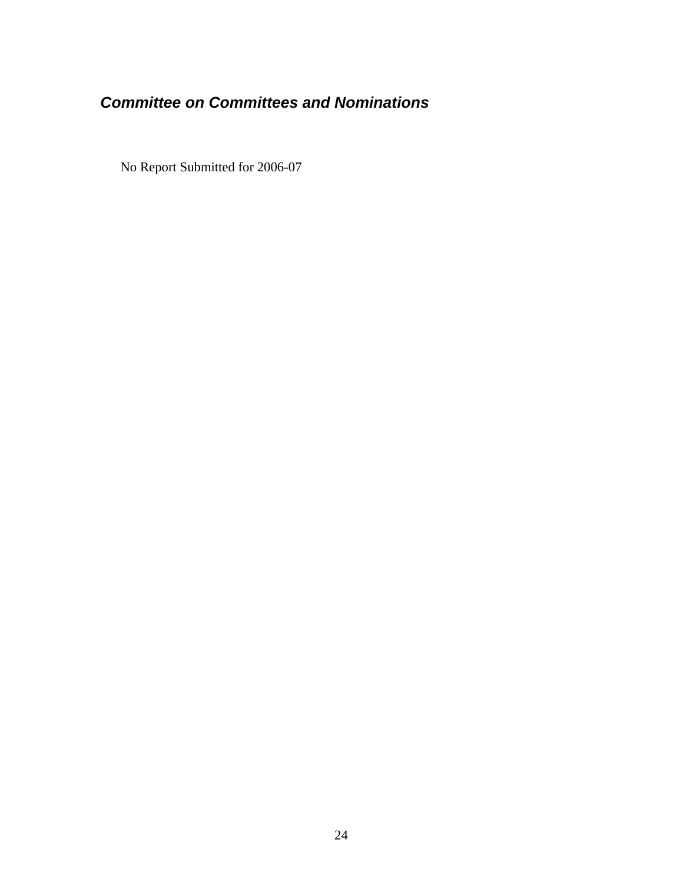## <span id="page-23-0"></span>*Committee on Committees and Nominations*

No Report Submitted for 2006-07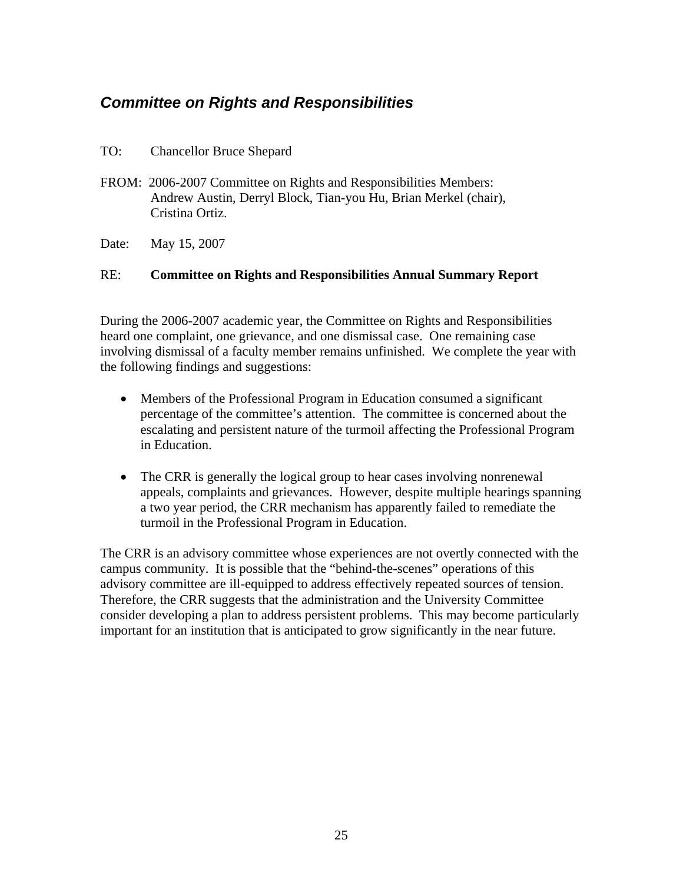## <span id="page-24-0"></span>*Committee on Rights and Responsibilities*

- TO: Chancellor Bruce Shepard
- FROM: 2006-2007 Committee on Rights and Responsibilities Members: Andrew Austin, Derryl Block, Tian-you Hu, Brian Merkel (chair), Cristina Ortiz.
- Date: May 15, 2007

### RE: **Committee on Rights and Responsibilities Annual Summary Report**

During the 2006-2007 academic year, the Committee on Rights and Responsibilities heard one complaint, one grievance, and one dismissal case. One remaining case involving dismissal of a faculty member remains unfinished. We complete the year with the following findings and suggestions:

- Members of the Professional Program in Education consumed a significant percentage of the committee's attention. The committee is concerned about the escalating and persistent nature of the turmoil affecting the Professional Program in Education.
- The CRR is generally the logical group to hear cases involving nonrenewal appeals, complaints and grievances. However, despite multiple hearings spanning a two year period, the CRR mechanism has apparently failed to remediate the turmoil in the Professional Program in Education.

The CRR is an advisory committee whose experiences are not overtly connected with the campus community. It is possible that the "behind-the-scenes" operations of this advisory committee are ill-equipped to address effectively repeated sources of tension. Therefore, the CRR suggests that the administration and the University Committee consider developing a plan to address persistent problems. This may become particularly important for an institution that is anticipated to grow significantly in the near future.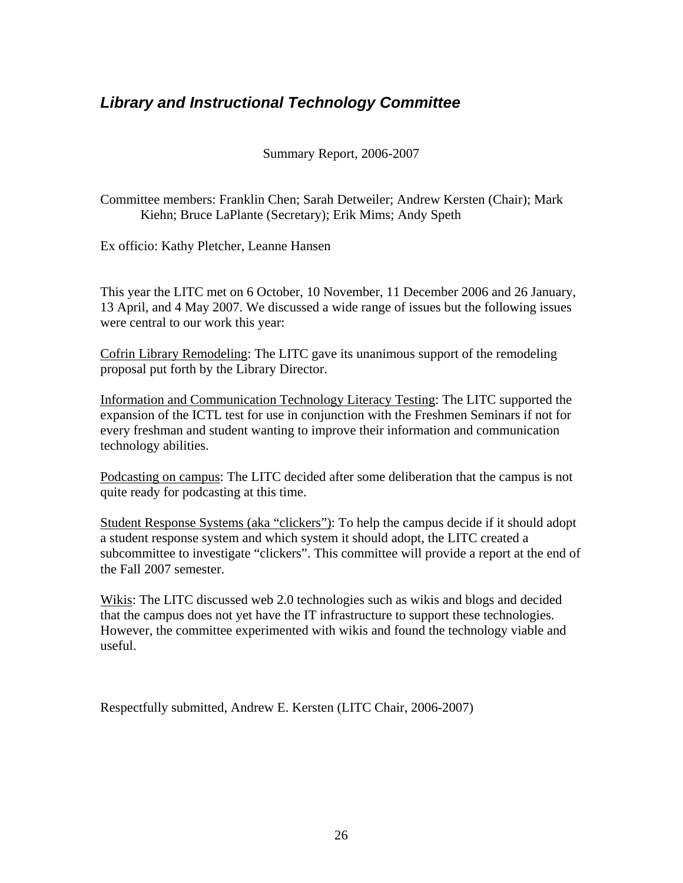## <span id="page-25-0"></span>*Library and Instructional Technology Committee*

Summary Report, 2006-2007

Committee members: Franklin Chen; Sarah Detweiler; Andrew Kersten (Chair); Mark Kiehn; Bruce LaPlante (Secretary); Erik Mims; Andy Speth

Ex officio: Kathy Pletcher, Leanne Hansen

This year the LITC met on 6 October, 10 November, 11 December 2006 and 26 January, 13 April, and 4 May 2007. We discussed a wide range of issues but the following issues were central to our work this year:

Cofrin Library Remodeling: The LITC gave its unanimous support of the remodeling proposal put forth by the Library Director.

Information and Communication Technology Literacy Testing: The LITC supported the expansion of the ICTL test for use in conjunction with the Freshmen Seminars if not for every freshman and student wanting to improve their information and communication technology abilities.

Podcasting on campus: The LITC decided after some deliberation that the campus is not quite ready for podcasting at this time.

Student Response Systems (aka "clickers"): To help the campus decide if it should adopt a student response system and which system it should adopt, the LITC created a subcommittee to investigate "clickers". This committee will provide a report at the end of the Fall 2007 semester.

Wikis: The LITC discussed web 2.0 technologies such as wikis and blogs and decided that the campus does not yet have the IT infrastructure to support these technologies. However, the committee experimented with wikis and found the technology viable and useful.

Respectfully submitted, Andrew E. Kersten (LITC Chair, 2006-2007)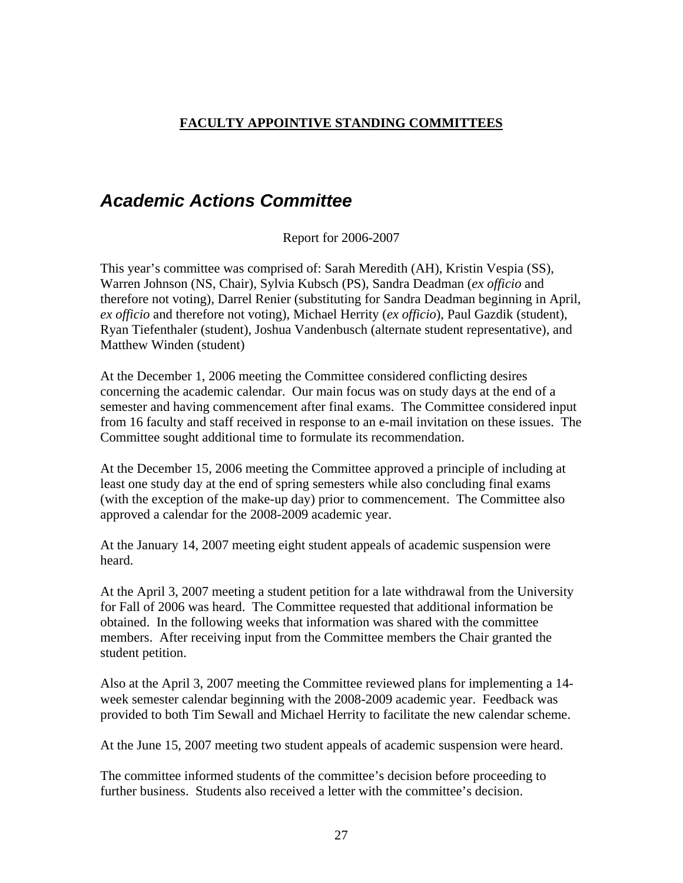### <span id="page-26-0"></span>**FACULTY APPOINTIVE STANDING COMMITTEES**

## *Academic Actions Committee*

Report for 2006-2007

This year's committee was comprised of: Sarah Meredith (AH), Kristin Vespia (SS), Warren Johnson (NS, Chair), Sylvia Kubsch (PS), Sandra Deadman (*ex officio* and therefore not voting), Darrel Renier (substituting for Sandra Deadman beginning in April, *ex officio* and therefore not voting), Michael Herrity (*ex officio*), Paul Gazdik (student), Ryan Tiefenthaler (student), Joshua Vandenbusch (alternate student representative), and Matthew Winden (student)

At the December 1, 2006 meeting the Committee considered conflicting desires concerning the academic calendar. Our main focus was on study days at the end of a semester and having commencement after final exams. The Committee considered input from 16 faculty and staff received in response to an e-mail invitation on these issues. The Committee sought additional time to formulate its recommendation.

At the December 15, 2006 meeting the Committee approved a principle of including at least one study day at the end of spring semesters while also concluding final exams (with the exception of the make-up day) prior to commencement. The Committee also approved a calendar for the 2008-2009 academic year.

At the January 14, 2007 meeting eight student appeals of academic suspension were heard.

At the April 3, 2007 meeting a student petition for a late withdrawal from the University for Fall of 2006 was heard. The Committee requested that additional information be obtained. In the following weeks that information was shared with the committee members. After receiving input from the Committee members the Chair granted the student petition.

Also at the April 3, 2007 meeting the Committee reviewed plans for implementing a 14 week semester calendar beginning with the 2008-2009 academic year. Feedback was provided to both Tim Sewall and Michael Herrity to facilitate the new calendar scheme.

At the June 15, 2007 meeting two student appeals of academic suspension were heard.

The committee informed students of the committee's decision before proceeding to further business. Students also received a letter with the committee's decision.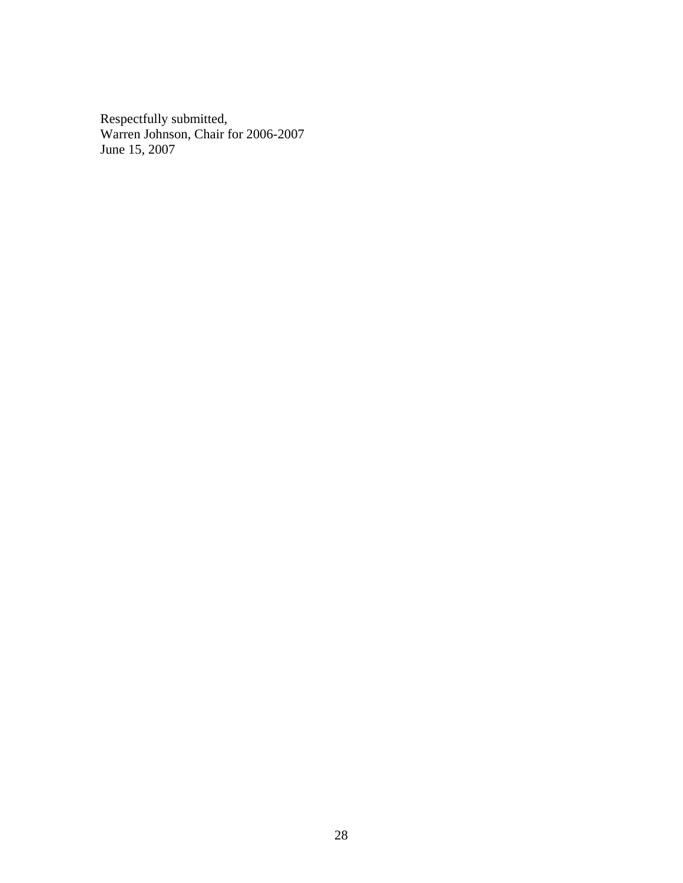Respectfully submitted, Warren Johnson, Chair for 2006-2007 June 15, 2007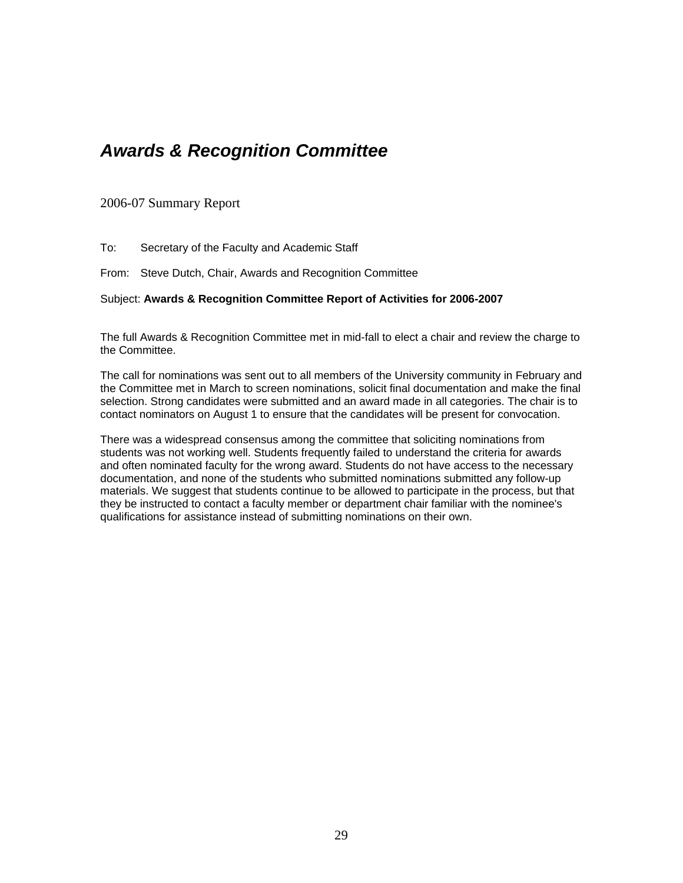## <span id="page-28-0"></span>*Awards & Recognition Committee*

2006-07 Summary Report

To: Secretary of the Faculty and Academic Staff

From: Steve Dutch, Chair, Awards and Recognition Committee

#### Subject: **Awards & Recognition Committee Report of Activities for 2006-2007**

The full Awards & Recognition Committee met in mid-fall to elect a chair and review the charge to the Committee.

The call for nominations was sent out to all members of the University community in February and the Committee met in March to screen nominations, solicit final documentation and make the final selection. Strong candidates were submitted and an award made in all categories. The chair is to contact nominators on August 1 to ensure that the candidates will be present for convocation.

There was a widespread consensus among the committee that soliciting nominations from students was not working well. Students frequently failed to understand the criteria for awards and often nominated faculty for the wrong award. Students do not have access to the necessary documentation, and none of the students who submitted nominations submitted any follow-up materials. We suggest that students continue to be allowed to participate in the process, but that they be instructed to contact a faculty member or department chair familiar with the nominee's qualifications for assistance instead of submitting nominations on their own.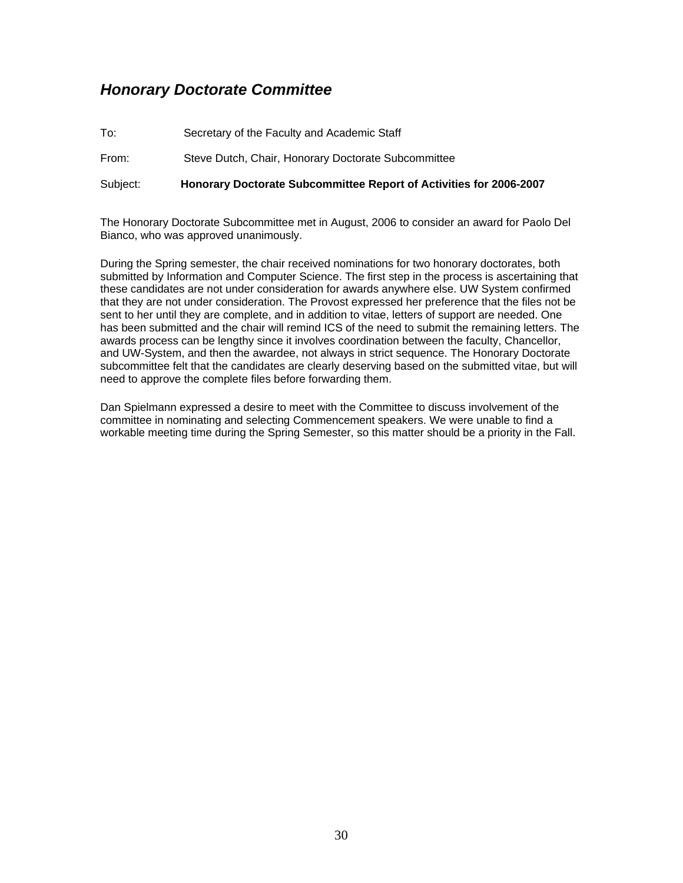## <span id="page-29-0"></span>*Honorary Doctorate Committee*

To: Secretary of the Faculty and Academic Staff From: Steve Dutch, Chair, Honorary Doctorate Subcommittee Subject: **Honorary Doctorate Subcommittee Report of Activities for 2006-2007** 

The Honorary Doctorate Subcommittee met in August, 2006 to consider an award for Paolo Del Bianco, who was approved unanimously.

During the Spring semester, the chair received nominations for two honorary doctorates, both submitted by Information and Computer Science. The first step in the process is ascertaining that these candidates are not under consideration for awards anywhere else. UW System confirmed that they are not under consideration. The Provost expressed her preference that the files not be sent to her until they are complete, and in addition to vitae, letters of support are needed. One has been submitted and the chair will remind ICS of the need to submit the remaining letters. The awards process can be lengthy since it involves coordination between the faculty, Chancellor, and UW-System, and then the awardee, not always in strict sequence. The Honorary Doctorate subcommittee felt that the candidates are clearly deserving based on the submitted vitae, but will need to approve the complete files before forwarding them.

Dan Spielmann expressed a desire to meet with the Committee to discuss involvement of the committee in nominating and selecting Commencement speakers. We were unable to find a workable meeting time during the Spring Semester, so this matter should be a priority in the Fall.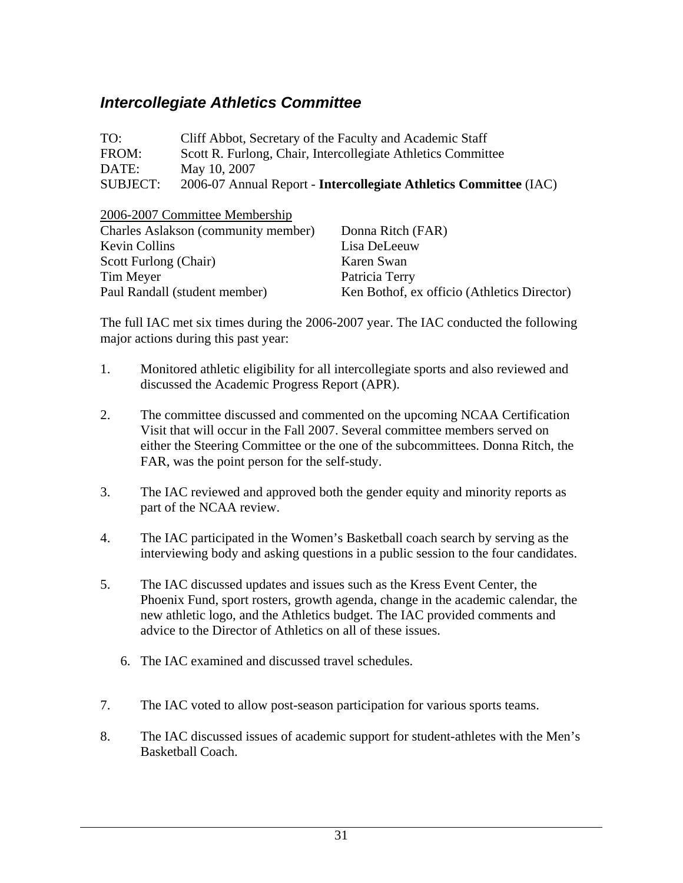## <span id="page-30-0"></span>*Intercollegiate Athletics Committee*

| TO:             | Cliff Abbot, Secretary of the Faculty and Academic Staff                 |
|-----------------|--------------------------------------------------------------------------|
| FROM:           | Scott R. Furlong, Chair, Intercollegiate Athletics Committee             |
| DATE:           | May 10, 2007                                                             |
| <b>SUBJECT:</b> | 2006-07 Annual Report - <b>Intercollegiate Athletics Committee</b> (IAC) |

2006-2007 Committee Membership

| Charles Aslakson (community member) | Donna Ritch (FAR)                           |
|-------------------------------------|---------------------------------------------|
| <b>Kevin Collins</b>                | Lisa DeLeeuw                                |
| Scott Furlong (Chair)               | Karen Swan                                  |
| Tim Meyer                           | Patricia Terry                              |
| Paul Randall (student member)       | Ken Bothof, ex officio (Athletics Director) |

The full IAC met six times during the 2006-2007 year. The IAC conducted the following major actions during this past year:

- 1. Monitored athletic eligibility for all intercollegiate sports and also reviewed and discussed the Academic Progress Report (APR).
- 2. The committee discussed and commented on the upcoming NCAA Certification Visit that will occur in the Fall 2007. Several committee members served on either the Steering Committee or the one of the subcommittees. Donna Ritch, the FAR, was the point person for the self-study.
- 3. The IAC reviewed and approved both the gender equity and minority reports as part of the NCAA review.
- 4. The IAC participated in the Women's Basketball coach search by serving as the interviewing body and asking questions in a public session to the four candidates.
- 5. The IAC discussed updates and issues such as the Kress Event Center, the Phoenix Fund, sport rosters, growth agenda, change in the academic calendar, the new athletic logo, and the Athletics budget. The IAC provided comments and advice to the Director of Athletics on all of these issues.
	- 6. The IAC examined and discussed travel schedules.
- 7. The IAC voted to allow post-season participation for various sports teams.
- 8. The IAC discussed issues of academic support for student-athletes with the Men's Basketball Coach.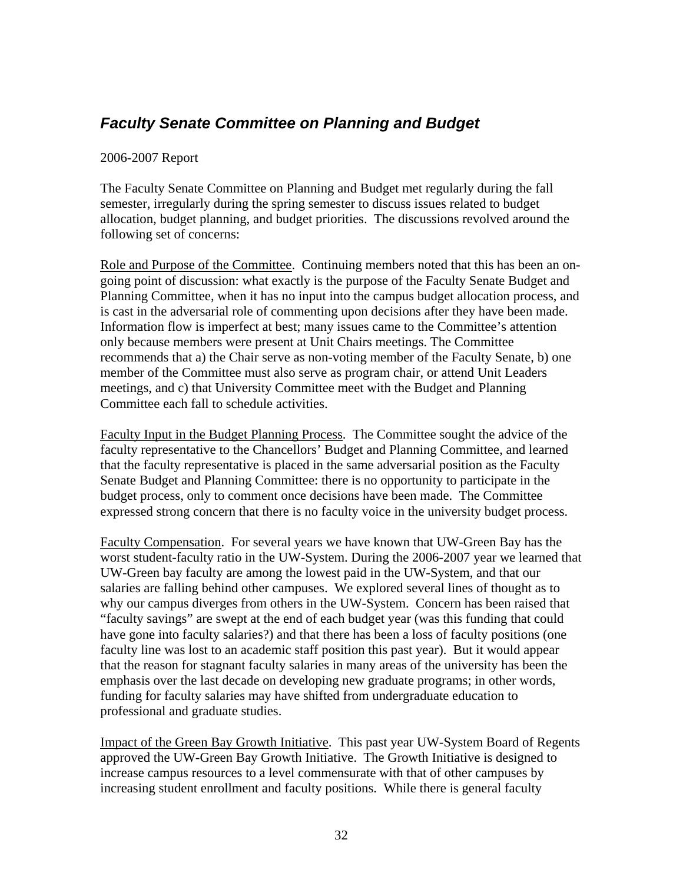## <span id="page-31-0"></span>*Faculty Senate Committee on Planning and Budget*

### 2006-2007 Report

The Faculty Senate Committee on Planning and Budget met regularly during the fall semester, irregularly during the spring semester to discuss issues related to budget allocation, budget planning, and budget priorities. The discussions revolved around the following set of concerns:

Role and Purpose of the Committee. Continuing members noted that this has been an ongoing point of discussion: what exactly is the purpose of the Faculty Senate Budget and Planning Committee, when it has no input into the campus budget allocation process, and is cast in the adversarial role of commenting upon decisions after they have been made. Information flow is imperfect at best; many issues came to the Committee's attention only because members were present at Unit Chairs meetings. The Committee recommends that a) the Chair serve as non-voting member of the Faculty Senate, b) one member of the Committee must also serve as program chair, or attend Unit Leaders meetings, and c) that University Committee meet with the Budget and Planning Committee each fall to schedule activities.

Faculty Input in the Budget Planning Process. The Committee sought the advice of the faculty representative to the Chancellors' Budget and Planning Committee, and learned that the faculty representative is placed in the same adversarial position as the Faculty Senate Budget and Planning Committee: there is no opportunity to participate in the budget process, only to comment once decisions have been made. The Committee expressed strong concern that there is no faculty voice in the university budget process.

Faculty Compensation. For several years we have known that UW-Green Bay has the worst student-faculty ratio in the UW-System. During the 2006-2007 year we learned that UW-Green bay faculty are among the lowest paid in the UW-System, and that our salaries are falling behind other campuses. We explored several lines of thought as to why our campus diverges from others in the UW-System. Concern has been raised that "faculty savings" are swept at the end of each budget year (was this funding that could have gone into faculty salaries?) and that there has been a loss of faculty positions (one faculty line was lost to an academic staff position this past year). But it would appear that the reason for stagnant faculty salaries in many areas of the university has been the emphasis over the last decade on developing new graduate programs; in other words, funding for faculty salaries may have shifted from undergraduate education to professional and graduate studies.

Impact of the Green Bay Growth Initiative. This past year UW-System Board of Regents approved the UW-Green Bay Growth Initiative. The Growth Initiative is designed to increase campus resources to a level commensurate with that of other campuses by increasing student enrollment and faculty positions. While there is general faculty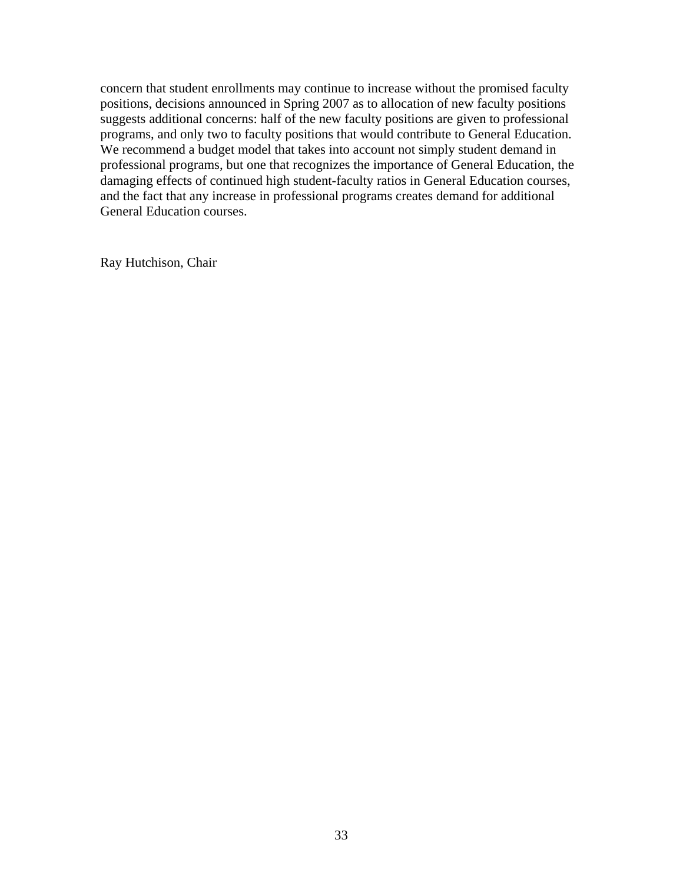concern that student enrollments may continue to increase without the promised faculty positions, decisions announced in Spring 2007 as to allocation of new faculty positions suggests additional concerns: half of the new faculty positions are given to professional programs, and only two to faculty positions that would contribute to General Education. We recommend a budget model that takes into account not simply student demand in professional programs, but one that recognizes the importance of General Education, the damaging effects of continued high student-faculty ratios in General Education courses, and the fact that any increase in professional programs creates demand for additional General Education courses.

Ray Hutchison, Chair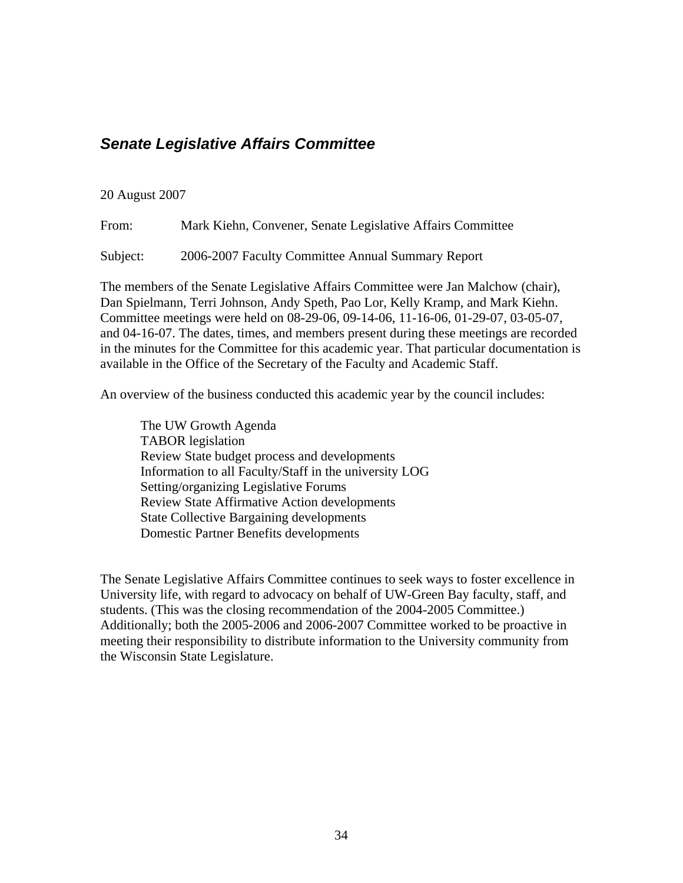## <span id="page-33-0"></span>*Senate Legislative Affairs Committee*

#### 20 August 2007

From: Mark Kiehn, Convener, Senate Legislative Affairs Committee

Subject: 2006-2007 Faculty Committee Annual Summary Report

The members of the Senate Legislative Affairs Committee were Jan Malchow (chair), Dan Spielmann, Terri Johnson, Andy Speth, Pao Lor, Kelly Kramp, and Mark Kiehn. Committee meetings were held on 08-29-06, 09-14-06, 11-16-06, 01-29-07, 03-05-07, and 04-16-07. The dates, times, and members present during these meetings are recorded in the minutes for the Committee for this academic year. That particular documentation is available in the Office of the Secretary of the Faculty and Academic Staff.

An overview of the business conducted this academic year by the council includes:

The UW Growth Agenda TABOR legislation Review State budget process and developments Information to all Faculty/Staff in the university LOG Setting/organizing Legislative Forums Review State Affirmative Action developments State Collective Bargaining developments Domestic Partner Benefits developments

The Senate Legislative Affairs Committee continues to seek ways to foster excellence in University life, with regard to advocacy on behalf of UW-Green Bay faculty, staff, and students. (This was the closing recommendation of the 2004-2005 Committee.) Additionally; both the 2005-2006 and 2006-2007 Committee worked to be proactive in meeting their responsibility to distribute information to the University community from the Wisconsin State Legislature.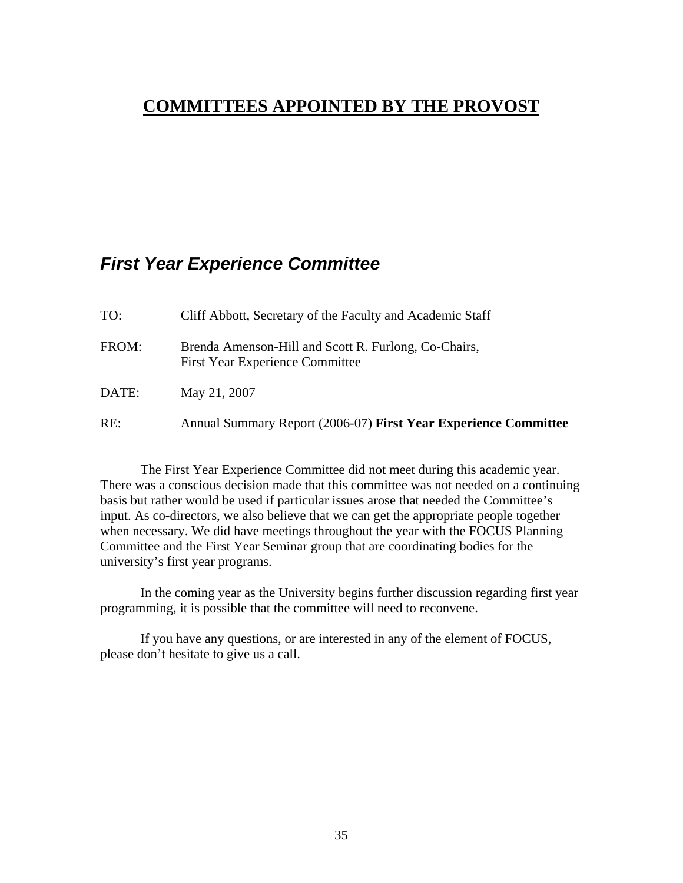## <span id="page-34-0"></span>**COMMITTEES APPOINTED BY THE PROVOST**

## *First Year Experience Committee*

| TO:   | Cliff Abbott, Secretary of the Faculty and Academic Staff                                      |
|-------|------------------------------------------------------------------------------------------------|
| FROM: | Brenda Amenson-Hill and Scott R. Furlong, Co-Chairs,<br><b>First Year Experience Committee</b> |
| DATE: | May 21, 2007                                                                                   |
| RE:   | Annual Summary Report (2006-07) First Year Experience Committee                                |

The First Year Experience Committee did not meet during this academic year. There was a conscious decision made that this committee was not needed on a continuing basis but rather would be used if particular issues arose that needed the Committee's input. As co-directors, we also believe that we can get the appropriate people together when necessary. We did have meetings throughout the year with the FOCUS Planning Committee and the First Year Seminar group that are coordinating bodies for the university's first year programs.

In the coming year as the University begins further discussion regarding first year programming, it is possible that the committee will need to reconvene.

If you have any questions, or are interested in any of the element of FOCUS, please don't hesitate to give us a call.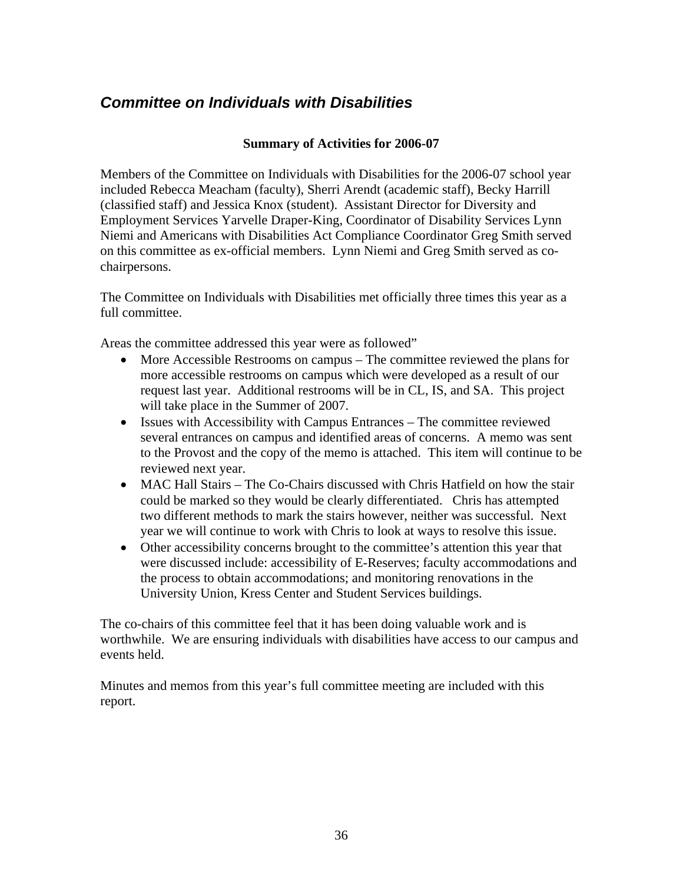## <span id="page-35-0"></span>*Committee on Individuals with Disabilities*

### **Summary of Activities for 2006-07**

Members of the Committee on Individuals with Disabilities for the 2006-07 school year included Rebecca Meacham (faculty), Sherri Arendt (academic staff), Becky Harrill (classified staff) and Jessica Knox (student). Assistant Director for Diversity and Employment Services Yarvelle Draper-King, Coordinator of Disability Services Lynn Niemi and Americans with Disabilities Act Compliance Coordinator Greg Smith served on this committee as ex-official members. Lynn Niemi and Greg Smith served as cochairpersons.

The Committee on Individuals with Disabilities met officially three times this year as a full committee.

Areas the committee addressed this year were as followed"

- More Accessible Restrooms on campus The committee reviewed the plans for more accessible restrooms on campus which were developed as a result of our request last year. Additional restrooms will be in CL, IS, and SA. This project will take place in the Summer of 2007.
- Issues with Accessibility with Campus Entrances The committee reviewed several entrances on campus and identified areas of concerns. A memo was sent to the Provost and the copy of the memo is attached. This item will continue to be reviewed next year.
- MAC Hall Stairs The Co-Chairs discussed with Chris Hatfield on how the stair could be marked so they would be clearly differentiated. Chris has attempted two different methods to mark the stairs however, neither was successful. Next year we will continue to work with Chris to look at ways to resolve this issue.
- Other accessibility concerns brought to the committee's attention this year that were discussed include: accessibility of E-Reserves; faculty accommodations and the process to obtain accommodations; and monitoring renovations in the University Union, Kress Center and Student Services buildings.

The co-chairs of this committee feel that it has been doing valuable work and is worthwhile. We are ensuring individuals with disabilities have access to our campus and events held.

Minutes and memos from this year's full committee meeting are included with this report.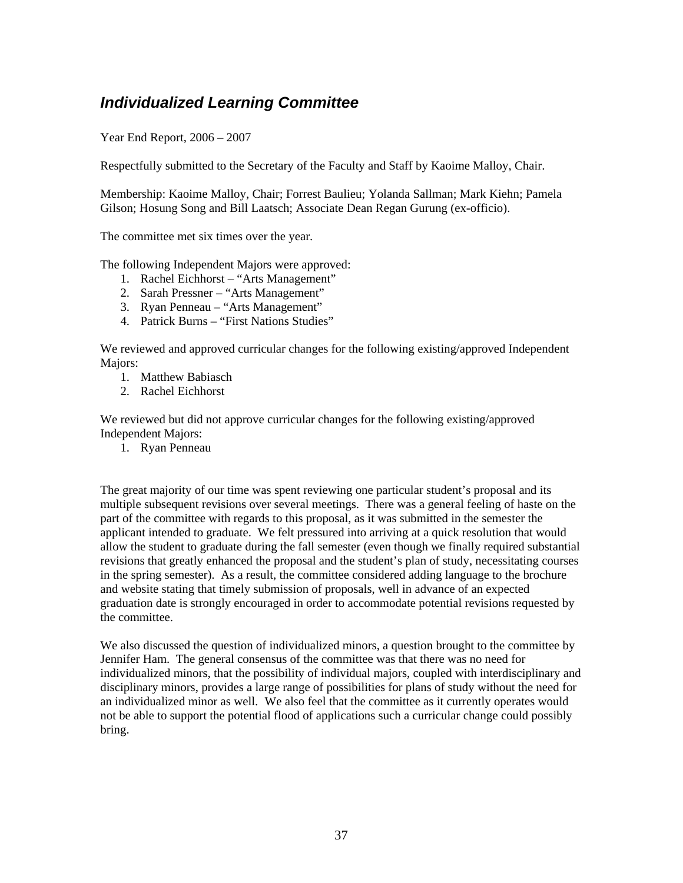## <span id="page-36-0"></span>*Individualized Learning Committee*

Year End Report, 2006 – 2007

Respectfully submitted to the Secretary of the Faculty and Staff by Kaoime Malloy, Chair.

Membership: Kaoime Malloy, Chair; Forrest Baulieu; Yolanda Sallman; Mark Kiehn; Pamela Gilson; Hosung Song and Bill Laatsch; Associate Dean Regan Gurung (ex-officio).

The committee met six times over the year.

The following Independent Majors were approved:

- 1. Rachel Eichhorst "Arts Management"
- 2. Sarah Pressner "Arts Management"
- 3. Ryan Penneau "Arts Management"
- 4. Patrick Burns "First Nations Studies"

We reviewed and approved curricular changes for the following existing/approved Independent Maiors:

- 1. Matthew Babiasch
- 2. Rachel Eichhorst

We reviewed but did not approve curricular changes for the following existing/approved Independent Majors:

1. Ryan Penneau

The great majority of our time was spent reviewing one particular student's proposal and its multiple subsequent revisions over several meetings. There was a general feeling of haste on the part of the committee with regards to this proposal, as it was submitted in the semester the applicant intended to graduate. We felt pressured into arriving at a quick resolution that would allow the student to graduate during the fall semester (even though we finally required substantial revisions that greatly enhanced the proposal and the student's plan of study, necessitating courses in the spring semester). As a result, the committee considered adding language to the brochure and website stating that timely submission of proposals, well in advance of an expected graduation date is strongly encouraged in order to accommodate potential revisions requested by the committee.

We also discussed the question of individualized minors, a question brought to the committee by Jennifer Ham. The general consensus of the committee was that there was no need for individualized minors, that the possibility of individual majors, coupled with interdisciplinary and disciplinary minors, provides a large range of possibilities for plans of study without the need for an individualized minor as well. We also feel that the committee as it currently operates would not be able to support the potential flood of applications such a curricular change could possibly bring.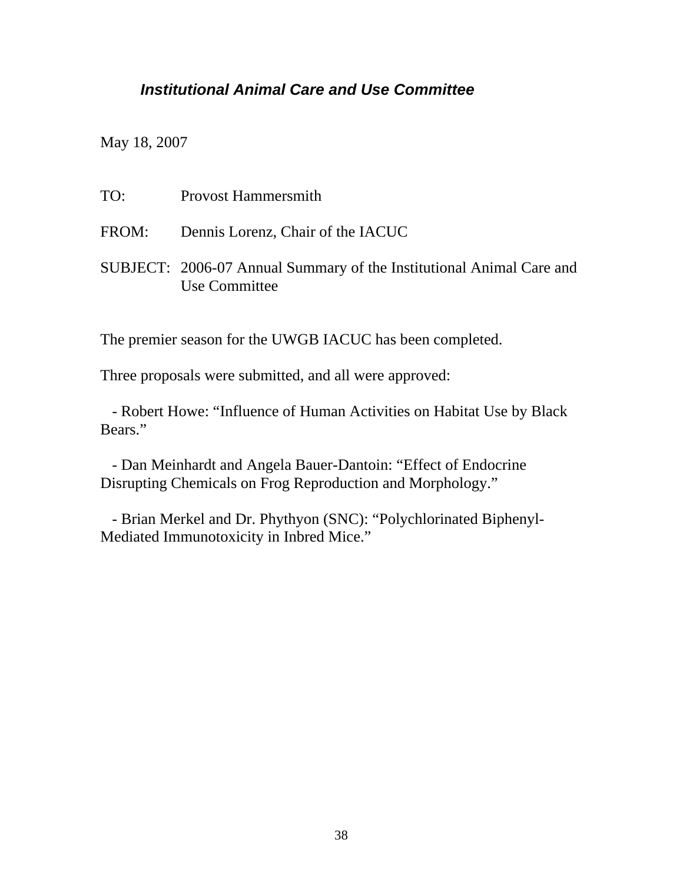## <span id="page-37-0"></span>*Institutional Animal Care and Use Committee*

May 18, 2007

| TO: | <b>Provost Hammersmith</b>                                                            |
|-----|---------------------------------------------------------------------------------------|
|     | FROM: Dennis Lorenz, Chair of the IACUC                                               |
|     | SUBJECT: 2006-07 Annual Summary of the Institutional Animal Care and<br>Use Committee |

The premier season for the UWGB IACUC has been completed.

Three proposals were submitted, and all were approved:

 - Robert Howe: "Influence of Human Activities on Habitat Use by Black Bears."

 - Dan Meinhardt and Angela Bauer-Dantoin: "Effect of Endocrine Disrupting Chemicals on Frog Reproduction and Morphology."

 - Brian Merkel and Dr. Phythyon (SNC): "Polychlorinated Biphenyl-Mediated Immunotoxicity in Inbred Mice."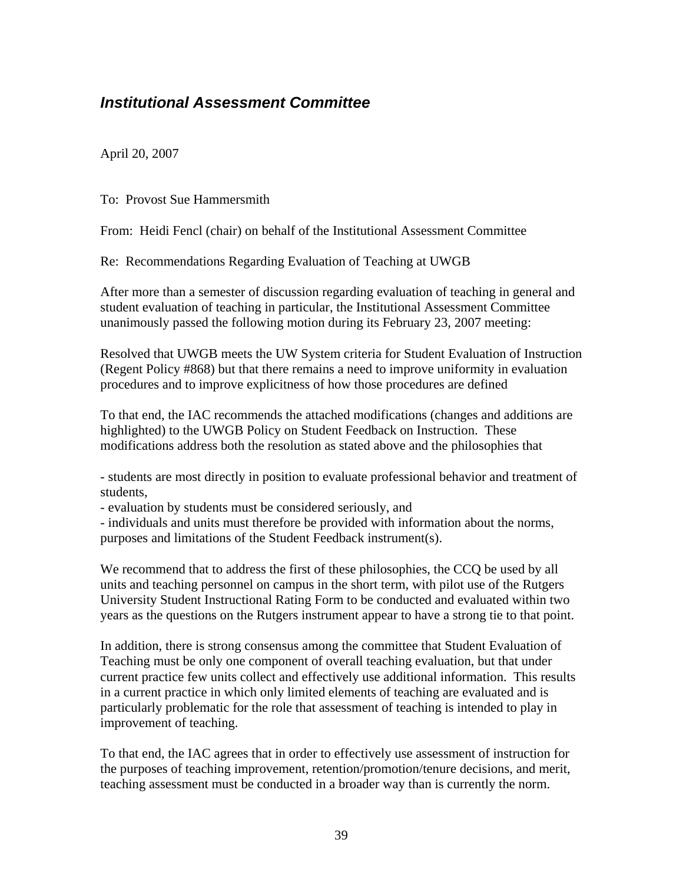## <span id="page-38-0"></span>*Institutional Assessment Committee*

April 20, 2007

To: Provost Sue Hammersmith

From: Heidi Fencl (chair) on behalf of the Institutional Assessment Committee

Re: Recommendations Regarding Evaluation of Teaching at UWGB

After more than a semester of discussion regarding evaluation of teaching in general and student evaluation of teaching in particular, the Institutional Assessment Committee unanimously passed the following motion during its February 23, 2007 meeting:

Resolved that UWGB meets the UW System criteria for Student Evaluation of Instruction (Regent Policy #868) but that there remains a need to improve uniformity in evaluation procedures and to improve explicitness of how those procedures are defined

To that end, the IAC recommends the attached modifications (changes and additions are highlighted) to the UWGB Policy on Student Feedback on Instruction. These modifications address both the resolution as stated above and the philosophies that

- students are most directly in position to evaluate professional behavior and treatment of students,

- evaluation by students must be considered seriously, and

- individuals and units must therefore be provided with information about the norms, purposes and limitations of the Student Feedback instrument(s).

We recommend that to address the first of these philosophies, the CCQ be used by all units and teaching personnel on campus in the short term, with pilot use of the Rutgers University Student Instructional Rating Form to be conducted and evaluated within two years as the questions on the Rutgers instrument appear to have a strong tie to that point.

In addition, there is strong consensus among the committee that Student Evaluation of Teaching must be only one component of overall teaching evaluation, but that under current practice few units collect and effectively use additional information. This results in a current practice in which only limited elements of teaching are evaluated and is particularly problematic for the role that assessment of teaching is intended to play in improvement of teaching.

To that end, the IAC agrees that in order to effectively use assessment of instruction for the purposes of teaching improvement, retention/promotion/tenure decisions, and merit, teaching assessment must be conducted in a broader way than is currently the norm.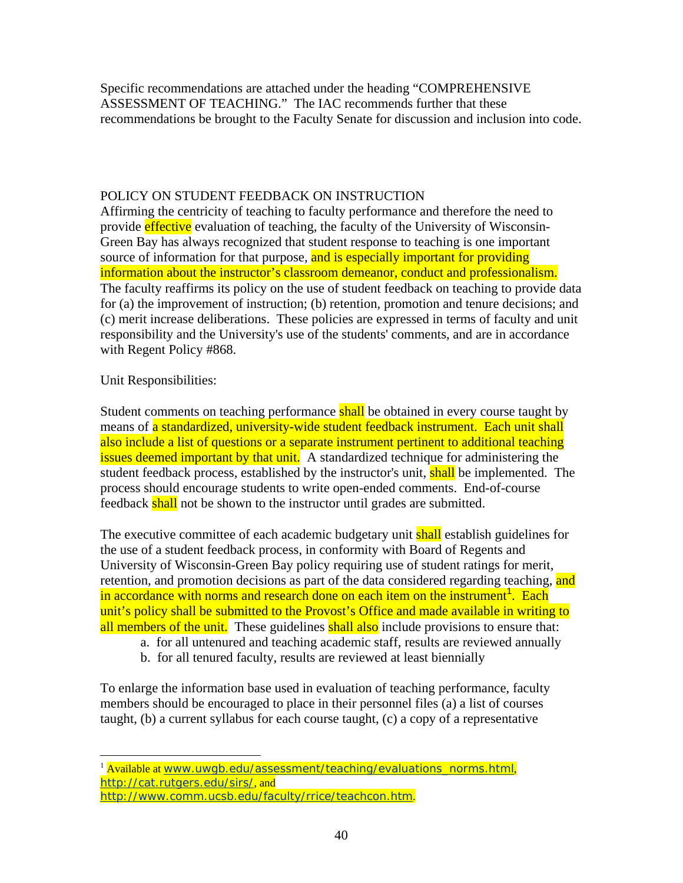Specific recommendations are attached under the heading "COMPREHENSIVE ASSESSMENT OF TEACHING." The IAC recommends further that these recommendations be brought to the Faculty Senate for discussion and inclusion into code.

### POLICY ON STUDENT FEEDBACK ON INSTRUCTION

Affirming the centricity of teaching to faculty performance and therefore the need to provide effective evaluation of teaching, the faculty of the University of Wisconsin-Green Bay has always recognized that student response to teaching is one important source of information for that purpose, and is especially important for providing information about the instructor's classroom demeanor, conduct and professionalism. The faculty reaffirms its policy on the use of student feedback on teaching to provide data for (a) the improvement of instruction; (b) retention, promotion and tenure decisions; and (c) merit increase deliberations. These policies are expressed in terms of faculty and unit responsibility and the University's use of the students' comments, and are in accordance with Regent Policy #868.

### Unit Responsibilities:

Student comments on teaching performance shall be obtained in every course taught by means of a standardized, university-wide student feedback instrument. Each unit shall also include a list of questions or a separate instrument pertinent to additional teaching issues deemed important by that unit. A standardized technique for administering the student feedback process, established by the instructor's unit, shall be implemented. The process should encourage students to write open-ended comments. End-of-course feedback shall not be shown to the instructor until grades are submitted.

The executive committee of each academic budgetary unit shall establish guidelines for the use of a student feedback process, in conformity with Board of Regents and University of Wisconsin-Green Bay policy requiring use of student ratings for merit, retention, and promotion decisions as part of the data considered regarding teaching, and in accordance with norms and research done on each item on the instrument<sup>[1](#page-39-0)</sup>. Each unit's policy shall be submitted to the Provost's Office and made available in writing to all members of the unit. These guidelines shall also include provisions to ensure that:

- a. for all untenured and teaching academic staff, results are reviewed annually
- b. for all tenured faculty, results are reviewed at least biennially

To enlarge the information base used in evaluation of teaching performance, faculty members should be encouraged to place in their personnel files (a) a list of courses taught, (b) a current syllabus for each course taught, (c) a copy of a representative

<span id="page-39-0"></span> $\overline{a}$ <sup>1</sup> Available at [www.uwgb.edu/assessment/teaching/evaluations\\_norms.html](http://www.uwgb.edu/assessment/teaching/evaluations_norms.html), <http://cat.rutgers.edu/sirs/>, and

<http://www.comm.ucsb.edu/faculty/rrice/teachcon.htm>.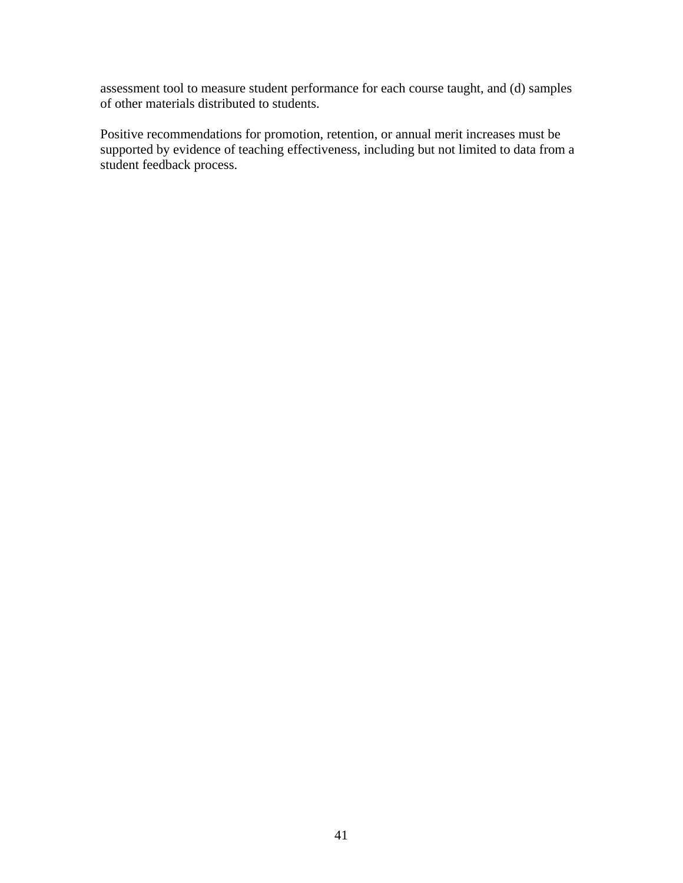assessment tool to measure student performance for each course taught, and (d) samples of other materials distributed to students.

Positive recommendations for promotion, retention, or annual merit increases must be supported by evidence of teaching effectiveness, including but not limited to data from a student feedback process.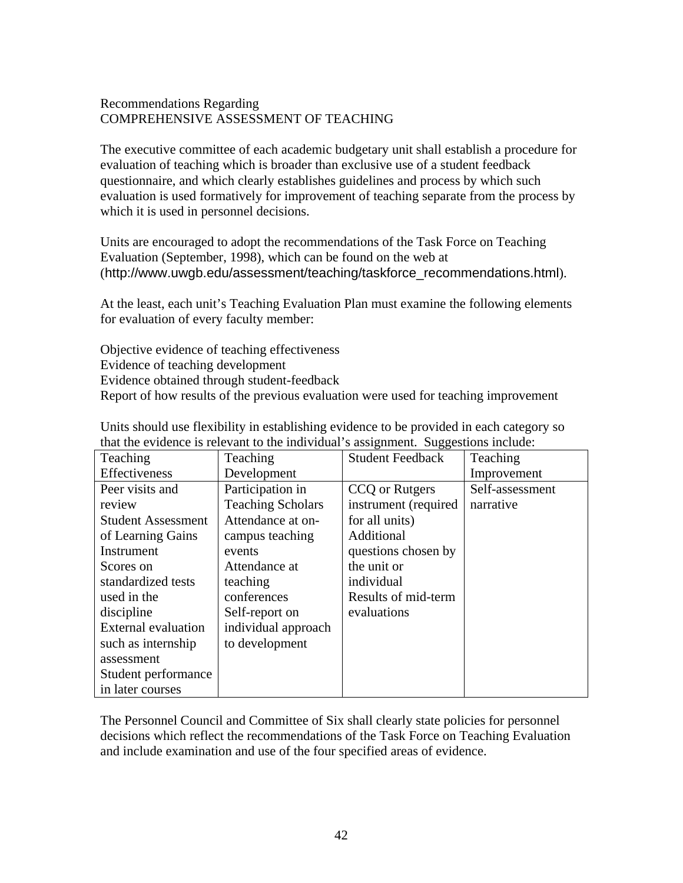### Recommendations Regarding COMPREHENSIVE ASSESSMENT OF TEACHING

The executive committee of each academic budgetary unit shall establish a procedure for evaluation of teaching which is broader than exclusive use of a student feedback questionnaire, and which clearly establishes guidelines and process by which such evaluation is used formatively for improvement of teaching separate from the process by which it is used in personnel decisions.

Units are encouraged to adopt the recommendations of the Task Force on Teaching Evaluation (September, 1998), which can be found on the web at ([http://www.uwgb.edu/assessment/teaching/taskforce\\_recommendations.html](http://www.uwgb.edu/assessment/teaching/taskforce_recommendations.html)).

At the least, each unit's Teaching Evaluation Plan must examine the following elements for evaluation of every faculty member:

Objective evidence of teaching effectiveness Evidence of teaching development Evidence obtained through student-feedback Report of how results of the previous evaluation were used for teaching improvement

| Teaching                   | Teaching                 | ັບ<br><b>Student Feedback</b> | Teaching        |
|----------------------------|--------------------------|-------------------------------|-----------------|
| Effectiveness              | Development              |                               | Improvement     |
| Peer visits and            | Participation in         | CCQ or Rutgers                | Self-assessment |
| review                     | <b>Teaching Scholars</b> | instrument (required          | narrative       |
| <b>Student Assessment</b>  | Attendance at on-        | for all units)                |                 |
| of Learning Gains          | campus teaching          | Additional                    |                 |
| Instrument                 | events                   | questions chosen by           |                 |
| Scores on                  | Attendance at            | the unit or                   |                 |
| standardized tests         | teaching                 | individual                    |                 |
| used in the                | conferences              | Results of mid-term           |                 |
| discipline                 | Self-report on           | evaluations                   |                 |
| <b>External evaluation</b> | individual approach      |                               |                 |
| such as internship         | to development           |                               |                 |
| assessment                 |                          |                               |                 |
| Student performance        |                          |                               |                 |
| in later courses           |                          |                               |                 |

Units should use flexibility in establishing evidence to be provided in each category so that the evidence is relevant to the individual's assignment. Suggestions include:

The Personnel Council and Committee of Six shall clearly state policies for personnel decisions which reflect the recommendations of the Task Force on Teaching Evaluation and include examination and use of the four specified areas of evidence.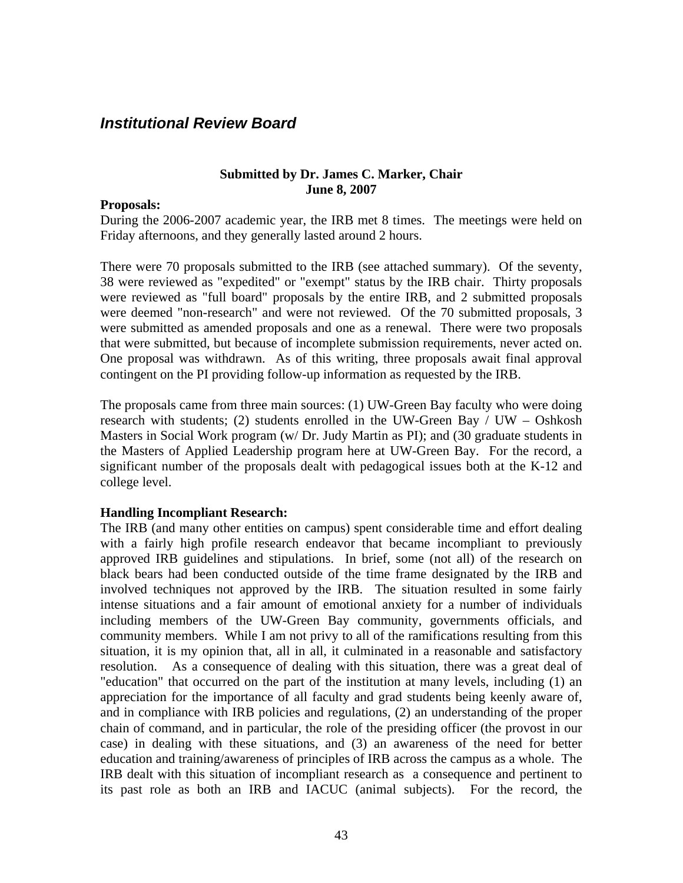### <span id="page-42-0"></span>*Institutional Review Board*

#### **Submitted by Dr. James C. Marker, Chair June 8, 2007**

#### **Proposals:**

During the 2006-2007 academic year, the IRB met 8 times. The meetings were held on Friday afternoons, and they generally lasted around 2 hours.

There were 70 proposals submitted to the IRB (see attached summary). Of the seventy, 38 were reviewed as "expedited" or "exempt" status by the IRB chair. Thirty proposals were reviewed as "full board" proposals by the entire IRB, and 2 submitted proposals were deemed "non-research" and were not reviewed. Of the 70 submitted proposals, 3 were submitted as amended proposals and one as a renewal. There were two proposals that were submitted, but because of incomplete submission requirements, never acted on. One proposal was withdrawn. As of this writing, three proposals await final approval contingent on the PI providing follow-up information as requested by the IRB.

The proposals came from three main sources: (1) UW-Green Bay faculty who were doing research with students; (2) students enrolled in the UW-Green Bay / UW – Oshkosh Masters in Social Work program (w/ Dr. Judy Martin as PI); and (30 graduate students in the Masters of Applied Leadership program here at UW-Green Bay. For the record, a significant number of the proposals dealt with pedagogical issues both at the K-12 and college level.

### **Handling Incompliant Research:**

The IRB (and many other entities on campus) spent considerable time and effort dealing with a fairly high profile research endeavor that became incompliant to previously approved IRB guidelines and stipulations. In brief, some (not all) of the research on black bears had been conducted outside of the time frame designated by the IRB and involved techniques not approved by the IRB. The situation resulted in some fairly intense situations and a fair amount of emotional anxiety for a number of individuals including members of the UW-Green Bay community, governments officials, and community members. While I am not privy to all of the ramifications resulting from this situation, it is my opinion that, all in all, it culminated in a reasonable and satisfactory resolution. As a consequence of dealing with this situation, there was a great deal of "education" that occurred on the part of the institution at many levels, including (1) an appreciation for the importance of all faculty and grad students being keenly aware of, and in compliance with IRB policies and regulations, (2) an understanding of the proper chain of command, and in particular, the role of the presiding officer (the provost in our case) in dealing with these situations, and (3) an awareness of the need for better education and training/awareness of principles of IRB across the campus as a whole. The IRB dealt with this situation of incompliant research as a consequence and pertinent to its past role as both an IRB and IACUC (animal subjects). For the record, the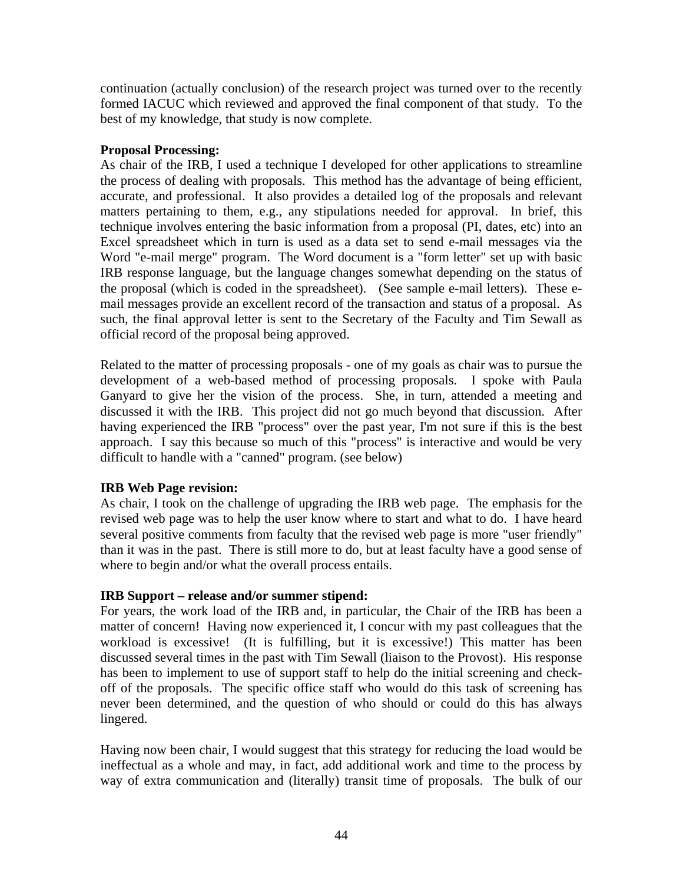continuation (actually conclusion) of the research project was turned over to the recently formed IACUC which reviewed and approved the final component of that study. To the best of my knowledge, that study is now complete.

### **Proposal Processing:**

As chair of the IRB, I used a technique I developed for other applications to streamline the process of dealing with proposals. This method has the advantage of being efficient, accurate, and professional. It also provides a detailed log of the proposals and relevant matters pertaining to them, e.g., any stipulations needed for approval. In brief, this technique involves entering the basic information from a proposal (PI, dates, etc) into an Excel spreadsheet which in turn is used as a data set to send e-mail messages via the Word "e-mail merge" program. The Word document is a "form letter" set up with basic IRB response language, but the language changes somewhat depending on the status of the proposal (which is coded in the spreadsheet). (See sample e-mail letters). These email messages provide an excellent record of the transaction and status of a proposal. As such, the final approval letter is sent to the Secretary of the Faculty and Tim Sewall as official record of the proposal being approved.

Related to the matter of processing proposals - one of my goals as chair was to pursue the development of a web-based method of processing proposals. I spoke with Paula Ganyard to give her the vision of the process. She, in turn, attended a meeting and discussed it with the IRB. This project did not go much beyond that discussion. After having experienced the IRB "process" over the past year, I'm not sure if this is the best approach. I say this because so much of this "process" is interactive and would be very difficult to handle with a "canned" program. (see below)

### **IRB Web Page revision:**

As chair, I took on the challenge of upgrading the IRB web page. The emphasis for the revised web page was to help the user know where to start and what to do. I have heard several positive comments from faculty that the revised web page is more "user friendly" than it was in the past. There is still more to do, but at least faculty have a good sense of where to begin and/or what the overall process entails.

### **IRB Support – release and/or summer stipend:**

For years, the work load of the IRB and, in particular, the Chair of the IRB has been a matter of concern! Having now experienced it, I concur with my past colleagues that the workload is excessive! (It is fulfilling, but it is excessive!) This matter has been discussed several times in the past with Tim Sewall (liaison to the Provost). His response has been to implement to use of support staff to help do the initial screening and checkoff of the proposals. The specific office staff who would do this task of screening has never been determined, and the question of who should or could do this has always lingered.

Having now been chair, I would suggest that this strategy for reducing the load would be ineffectual as a whole and may, in fact, add additional work and time to the process by way of extra communication and (literally) transit time of proposals. The bulk of our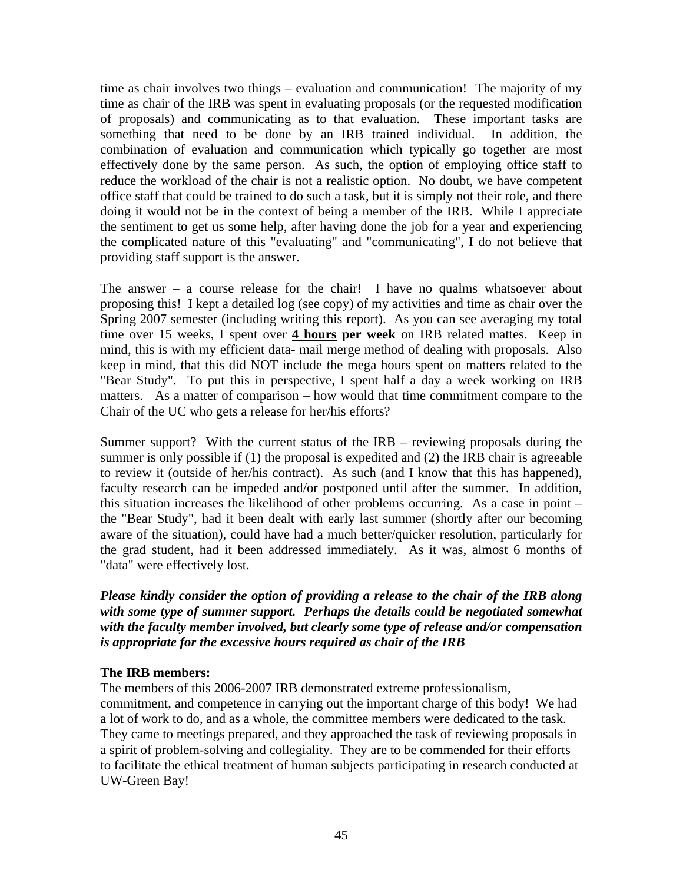time as chair involves two things – evaluation and communication! The majority of my time as chair of the IRB was spent in evaluating proposals (or the requested modification of proposals) and communicating as to that evaluation. These important tasks are something that need to be done by an IRB trained individual. In addition, the combination of evaluation and communication which typically go together are most effectively done by the same person. As such, the option of employing office staff to reduce the workload of the chair is not a realistic option. No doubt, we have competent office staff that could be trained to do such a task, but it is simply not their role, and there doing it would not be in the context of being a member of the IRB. While I appreciate the sentiment to get us some help, after having done the job for a year and experiencing the complicated nature of this "evaluating" and "communicating", I do not believe that providing staff support is the answer.

The answer – a course release for the chair! I have no qualms whatsoever about proposing this! I kept a detailed log (see copy) of my activities and time as chair over the Spring 2007 semester (including writing this report). As you can see averaging my total time over 15 weeks, I spent over **4 hours per week** on IRB related mattes. Keep in mind, this is with my efficient data- mail merge method of dealing with proposals. Also keep in mind, that this did NOT include the mega hours spent on matters related to the "Bear Study". To put this in perspective, I spent half a day a week working on IRB matters. As a matter of comparison – how would that time commitment compare to the Chair of the UC who gets a release for her/his efforts?

Summer support? With the current status of the IRB – reviewing proposals during the summer is only possible if (1) the proposal is expedited and (2) the IRB chair is agreeable to review it (outside of her/his contract). As such (and I know that this has happened), faculty research can be impeded and/or postponed until after the summer. In addition, this situation increases the likelihood of other problems occurring. As a case in point – the "Bear Study", had it been dealt with early last summer (shortly after our becoming aware of the situation), could have had a much better/quicker resolution, particularly for the grad student, had it been addressed immediately. As it was, almost 6 months of "data" were effectively lost.

*Please kindly consider the option of providing a release to the chair of the IRB along with some type of summer support. Perhaps the details could be negotiated somewhat with the faculty member involved, but clearly some type of release and/or compensation is appropriate for the excessive hours required as chair of the IRB* 

### **The IRB members:**

The members of this 2006-2007 IRB demonstrated extreme professionalism, commitment, and competence in carrying out the important charge of this body! We had a lot of work to do, and as a whole, the committee members were dedicated to the task. They came to meetings prepared, and they approached the task of reviewing proposals in a spirit of problem-solving and collegiality. They are to be commended for their efforts to facilitate the ethical treatment of human subjects participating in research conducted at UW-Green Bay!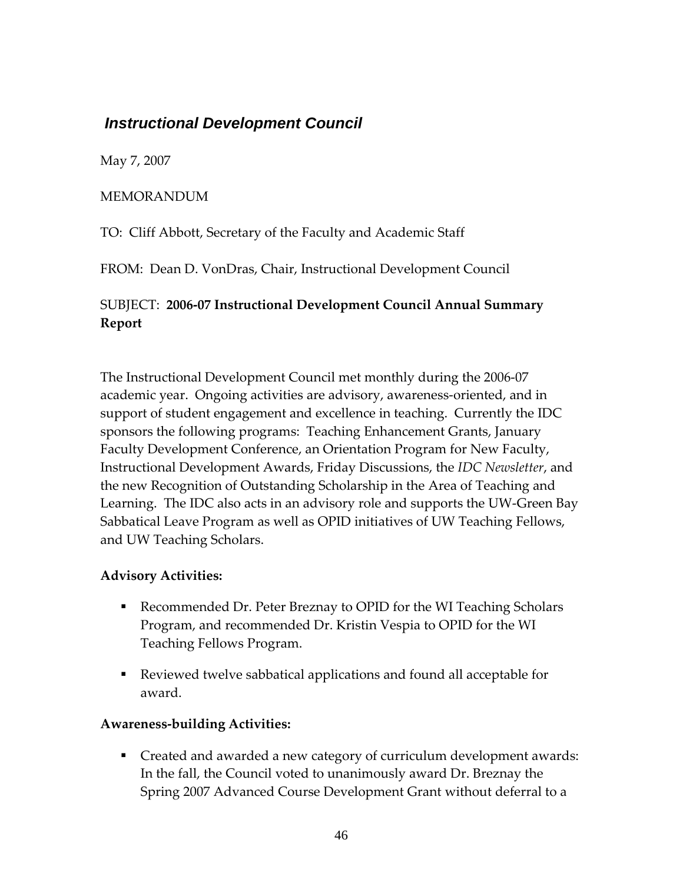## <span id="page-45-0"></span> *Instructional Development Council*

May 7, 2007

### MEMORANDUM

TO: Cliff Abbott, Secretary of the Faculty and Academic Staff

FROM: Dean D. VonDras, Chair, Instructional Development Council

### SUBJECT: **2006‐07 Instructional Development Council Annual Summary Report**

The Instructional Development Council met monthly during the 2006‐07 academic year. Ongoing activities are advisory, awareness‐oriented, and in support of student engagement and excellence in teaching. Currently the IDC sponsors the following programs: Teaching Enhancement Grants, January Faculty Development Conference, an Orientation Program for New Faculty, Instructional Development Awards, Friday Discussions, the *IDC Newsletter*, and the new Recognition of Outstanding Scholarship in the Area of Teaching and Learning. The IDC also acts in an advisory role and supports the UW‐Green Bay Sabbatical Leave Program as well as OPID initiatives of UW Teaching Fellows, and UW Teaching Scholars.

### **Advisory Activities:**

- Recommended Dr. Peter Breznay to OPID for the WI Teaching Scholars Program, and recommended Dr. Kristin Vespia to OPID for the WI Teaching Fellows Program.
- Reviewed twelve sabbatical applications and found all acceptable for award.

### **Awareness‐building Activities:**

 Created and awarded a new category of curriculum development awards: In the fall, the Council voted to unanimously award Dr. Breznay the Spring 2007 Advanced Course Development Grant without deferral to a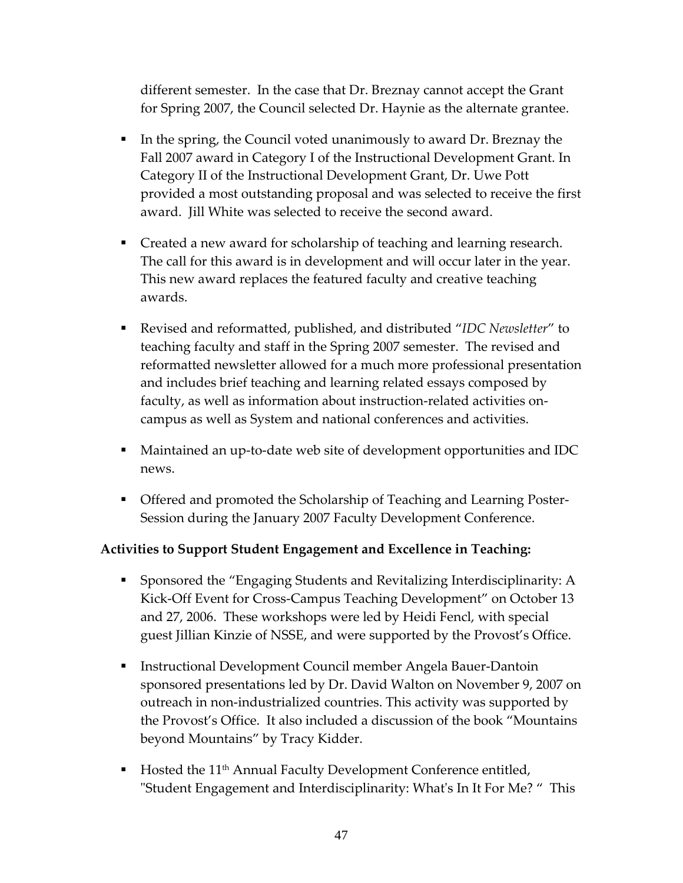different semester. In the case that Dr. Breznay cannot accept the Grant for Spring 2007, the Council selected Dr. Haynie as the alternate grantee.

- In the spring, the Council voted unanimously to award Dr. Breznay the Fall 2007 award in Category I of the Instructional Development Grant. In Category II of the Instructional Development Grant, Dr. Uwe Pott provided a most outstanding proposal and was selected to receive the first award. Jill White was selected to receive the second award.
- **Created a new award for scholarship of teaching and learning research.** The call for this award is in development and will occur later in the year. This new award replaces the featured faculty and creative teaching awards.
- Revised and reformatted, published, and distributed "*IDC Newsletter*" to teaching faculty and staff in the Spring 2007 semester. The revised and reformatted newsletter allowed for a much more professional presentation and includes brief teaching and learning related essays composed by faculty, as well as information about instruction‐related activities on‐ campus as well as System and national conferences and activities.
- Maintained an up-to-date web site of development opportunities and IDC news.
- Offered and promoted the Scholarship of Teaching and Learning Poster-Session during the January 2007 Faculty Development Conference.

### **Activities to Support Student Engagement and Excellence in Teaching:**

- Sponsored the "Engaging Students and Revitalizing Interdisciplinarity: A Kick-Off Event for Cross-Campus Teaching Development" on October 13 and 27, 2006. These workshops were led by Heidi Fencl, with special guest Jillian Kinzie of NSSE, and were supported by the Provost's Office.
- Instructional Development Council member Angela Bauer-Dantoin sponsored presentations led by Dr. David Walton on November 9, 2007 on outreach in non‐industrialized countries. This activity was supported by the Provost's Office. It also included a discussion of the book "Mountains beyond Mountains" by Tracy Kidder.
- Hosted the 11<sup>th</sup> Annual Faculty Development Conference entitled, ʺStudent Engagement and Interdisciplinarity: Whatʹs In It For Me? " This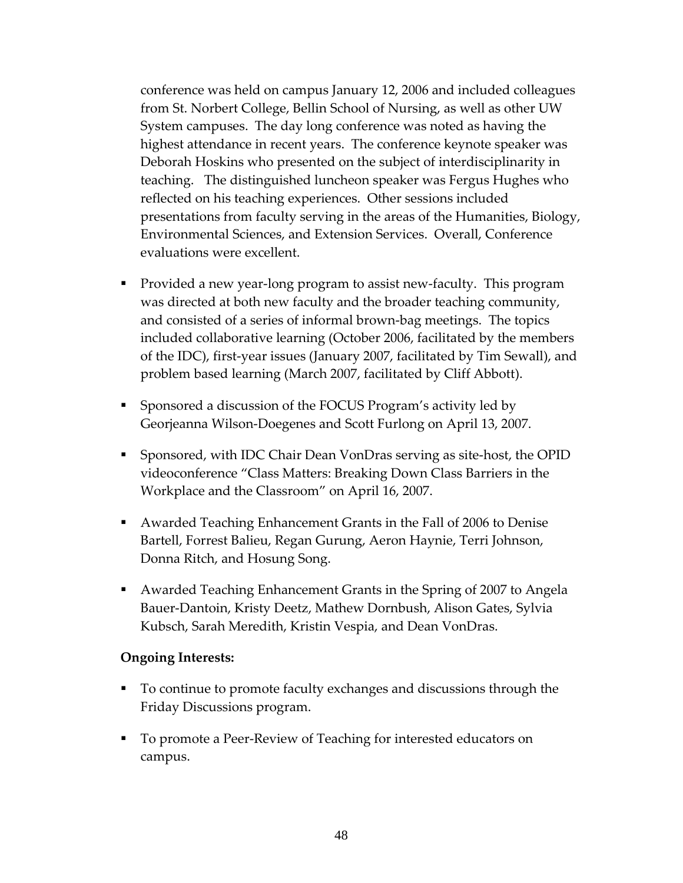conference was held on campus January 12, 2006 and included colleagues from St. Norbert College, Bellin School of Nursing, as well as other UW System campuses. The day long conference was noted as having the highest attendance in recent years. The conference keynote speaker was Deborah Hoskins who presented on the subject of interdisciplinarity in teaching. The distinguished luncheon speaker was Fergus Hughes who reflected on his teaching experiences. Other sessions included presentations from faculty serving in the areas of the Humanities, Biology, Environmental Sciences, and Extension Services. Overall, Conference evaluations were excellent.

- Provided a new year-long program to assist new-faculty. This program was directed at both new faculty and the broader teaching community, and consisted of a series of informal brown‐bag meetings. The topics included collaborative learning (October 2006, facilitated by the members of the IDC), first‐year issues (January 2007, facilitated by Tim Sewall), and problem based learning (March 2007, facilitated by Cliff Abbott).
- Sponsored a discussion of the FOCUS Program's activity led by Georjeanna Wilson‐Doegenes and Scott Furlong on April 13, 2007.
- Sponsored, with IDC Chair Dean VonDras serving as site-host, the OPID videoconference "Class Matters: Breaking Down Class Barriers in the Workplace and the Classroom" on April 16, 2007.
- Awarded Teaching Enhancement Grants in the Fall of 2006 to Denise Bartell, Forrest Balieu, Regan Gurung, Aeron Haynie, Terri Johnson, Donna Ritch, and Hosung Song.
- Awarded Teaching Enhancement Grants in the Spring of 2007 to Angela Bauer‐Dantoin, Kristy Deetz, Mathew Dornbush, Alison Gates, Sylvia Kubsch, Sarah Meredith, Kristin Vespia, and Dean VonDras.

### **Ongoing Interests:**

- To continue to promote faculty exchanges and discussions through the Friday Discussions program.
- To promote a Peer-Review of Teaching for interested educators on campus.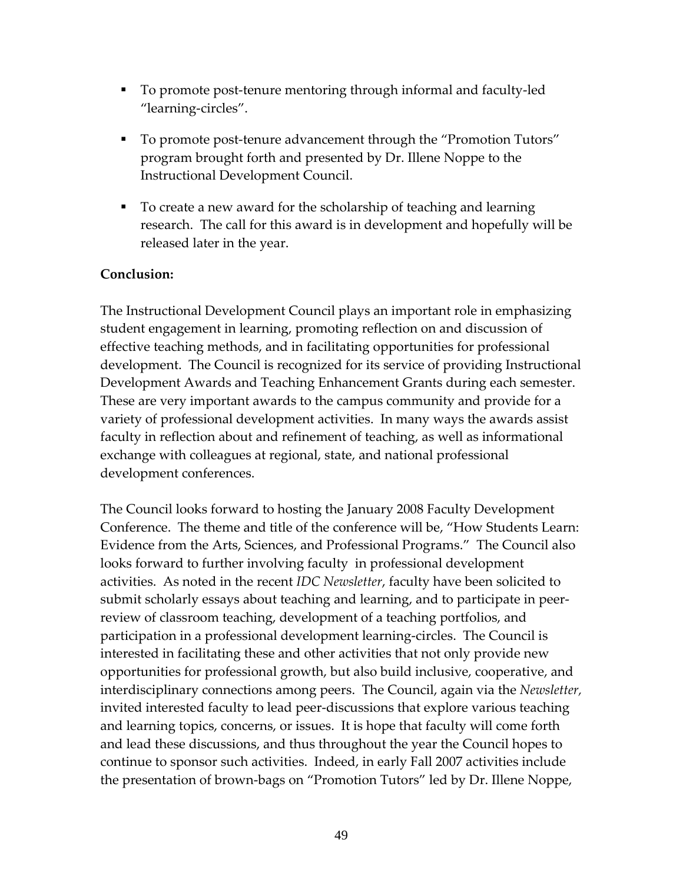- To promote post-tenure mentoring through informal and faculty-led "learning‐circles".
- To promote post-tenure advancement through the "Promotion Tutors" program brought forth and presented by Dr. Illene Noppe to the Instructional Development Council.
- To create a new award for the scholarship of teaching and learning research. The call for this award is in development and hopefully will be released later in the year.

### **Conclusion:**

The Instructional Development Council plays an important role in emphasizing student engagement in learning, promoting reflection on and discussion of effective teaching methods, and in facilitating opportunities for professional development. The Council is recognized for its service of providing Instructional Development Awards and Teaching Enhancement Grants during each semester. These are very important awards to the campus community and provide for a variety of professional development activities. In many ways the awards assist faculty in reflection about and refinement of teaching, as well as informational exchange with colleagues at regional, state, and national professional development conferences.

The Council looks forward to hosting the January 2008 Faculty Development Conference. The theme and title of the conference will be, "How Students Learn: Evidence from the Arts, Sciences, and Professional Programs." The Council also looks forward to further involving faculty in professional development activities. As noted in the recent *IDC Newsletter*, faculty have been solicited to submit scholarly essays about teaching and learning, and to participate in peer‐ review of classroom teaching, development of a teaching portfolios, and participation in a professional development learning‐circles. The Council is interested in facilitating these and other activities that not only provide new opportunities for professional growth, but also build inclusive, cooperative, and interdisciplinary connections among peers. The Council, again via the *Newsletter,* invited interested faculty to lead peer‐discussions that explore various teaching and learning topics, concerns, or issues. It is hope that faculty will come forth and lead these discussions, and thus throughout the year the Council hopes to continue to sponsor such activities. Indeed, in early Fall 2007 activities include the presentation of brown‐bags on "Promotion Tutors" led by Dr. Illene Noppe,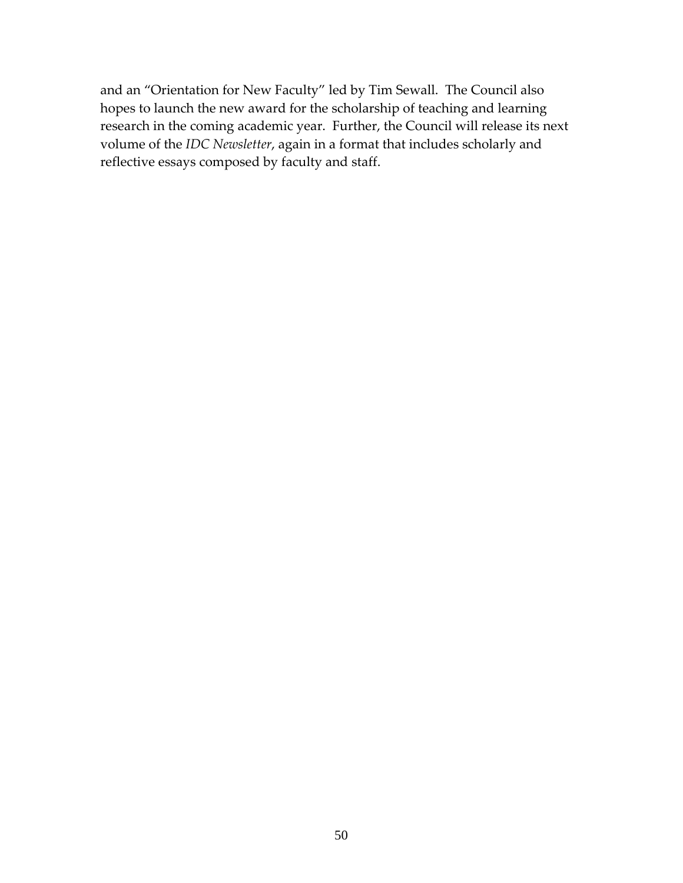and an "Orientation for New Faculty" led by Tim Sewall. The Council also hopes to launch the new award for the scholarship of teaching and learning research in the coming academic year. Further, the Council will release its next volume of the *IDC Newsletter*, again in a format that includes scholarly and reflective essays composed by faculty and staff.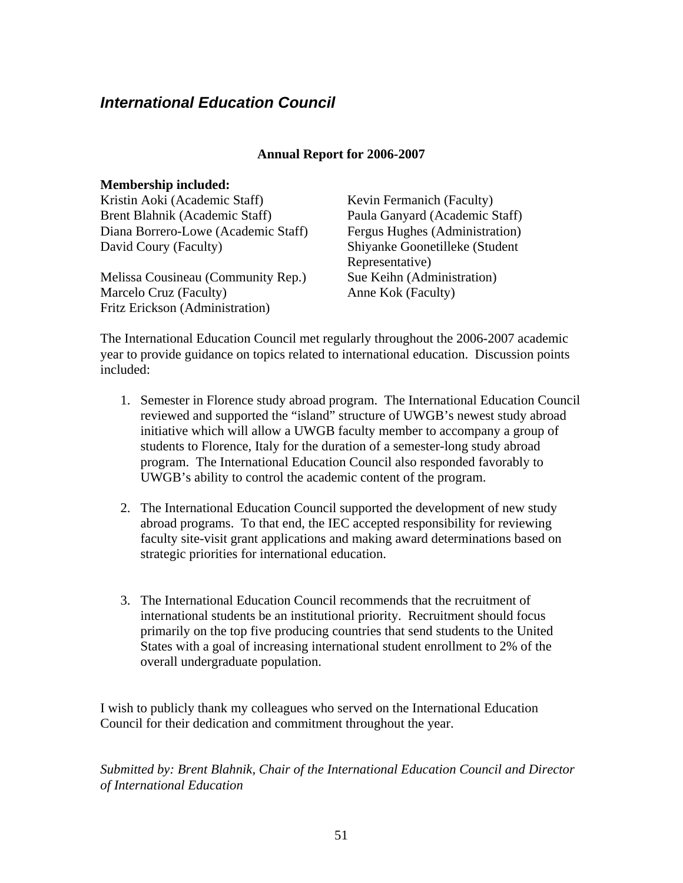## <span id="page-50-0"></span>*International Education Council*

#### **Annual Report for 2006-2007**

| <b>Membership included:</b>         |                                |
|-------------------------------------|--------------------------------|
| Kristin Aoki (Academic Staff)       | Kevin Fermanich (Faculty)      |
| Brent Blahnik (Academic Staff)      | Paula Ganyard (Academic Staff) |
| Diana Borrero-Lowe (Academic Staff) | Fergus Hughes (Administration) |
| David Coury (Faculty)               | Shiyanke Goonetilleke (Student |
|                                     | Representative)                |
| Melissa Cousineau (Community Rep.)  | Sue Keihn (Administration)     |
| Marcelo Cruz (Faculty)              | Anne Kok (Faculty)             |
| Fritz Erickson (Administration)     |                                |

The International Education Council met regularly throughout the 2006-2007 academic year to provide guidance on topics related to international education. Discussion points included:

- 1. Semester in Florence study abroad program. The International Education Council reviewed and supported the "island" structure of UWGB's newest study abroad initiative which will allow a UWGB faculty member to accompany a group of students to Florence, Italy for the duration of a semester-long study abroad program. The International Education Council also responded favorably to UWGB's ability to control the academic content of the program.
- 2. The International Education Council supported the development of new study abroad programs. To that end, the IEC accepted responsibility for reviewing faculty site-visit grant applications and making award determinations based on strategic priorities for international education.
- 3. The International Education Council recommends that the recruitment of international students be an institutional priority. Recruitment should focus primarily on the top five producing countries that send students to the United States with a goal of increasing international student enrollment to 2% of the overall undergraduate population.

I wish to publicly thank my colleagues who served on the International Education Council for their dedication and commitment throughout the year.

*Submitted by: Brent Blahnik, Chair of the International Education Council and Director of International Education*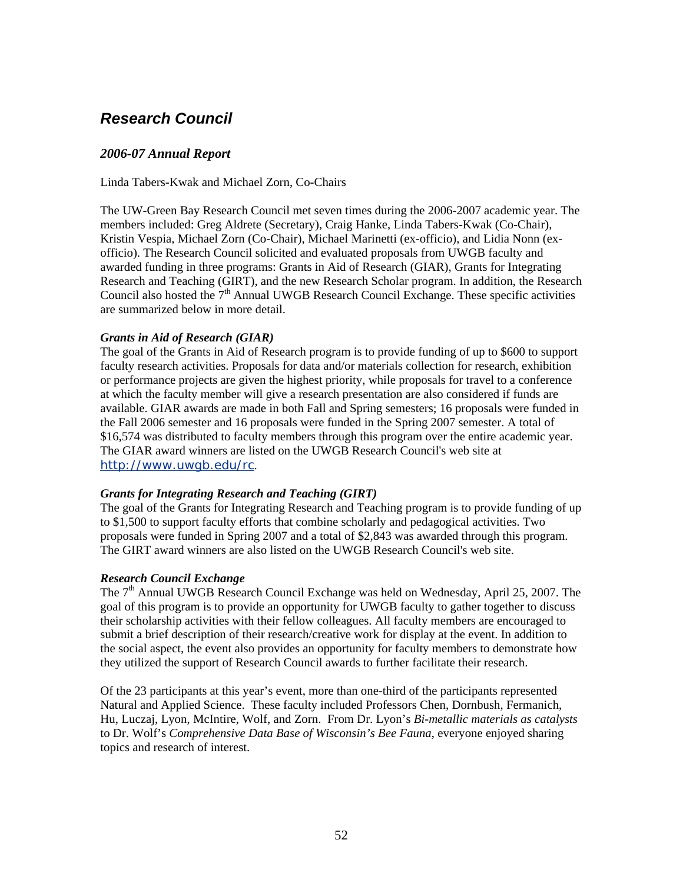## <span id="page-51-0"></span>*Research Council*

### *2006-07 Annual Report*

Linda Tabers-Kwak and Michael Zorn, Co-Chairs

The UW-Green Bay Research Council met seven times during the 2006-2007 academic year. The members included: Greg Aldrete (Secretary), Craig Hanke, Linda Tabers-Kwak (Co-Chair), Kristin Vespia, Michael Zorn (Co-Chair), Michael Marinetti (ex-officio), and Lidia Nonn (exofficio). The Research Council solicited and evaluated proposals from UWGB faculty and awarded funding in three programs: Grants in Aid of Research (GIAR), Grants for Integrating Research and Teaching (GIRT), and the new Research Scholar program. In addition, the Research Council also hosted the  $7<sup>th</sup>$  Annual UWGB Research Council Exchange. These specific activities are summarized below in more detail.

#### *Grants in Aid of Research (GIAR)*

The goal of the Grants in Aid of Research program is to provide funding of up to \$600 to support faculty research activities. Proposals for data and/or materials collection for research, exhibition or performance projects are given the highest priority, while proposals for travel to a conference at which the faculty member will give a research presentation are also considered if funds are available. GIAR awards are made in both Fall and Spring semesters; 16 proposals were funded in the Fall 2006 semester and 16 proposals were funded in the Spring 2007 semester. A total of \$16,574 was distributed to faculty members through this program over the entire academic year. The GIAR award winners are listed on the UWGB Research Council's web site at <http://www.uwgb.edu/rc>.

#### *Grants for Integrating Research and Teaching (GIRT)*

The goal of the Grants for Integrating Research and Teaching program is to provide funding of up to \$1,500 to support faculty efforts that combine scholarly and pedagogical activities. Two proposals were funded in Spring 2007 and a total of \$2,843 was awarded through this program. The GIRT award winners are also listed on the UWGB Research Council's web site.

#### *Research Council Exchange*

The 7<sup>th</sup> Annual UWGB Research Council Exchange was held on Wednesday, April 25, 2007. The goal of this program is to provide an opportunity for UWGB faculty to gather together to discuss their scholarship activities with their fellow colleagues. All faculty members are encouraged to submit a brief description of their research/creative work for display at the event. In addition to the social aspect, the event also provides an opportunity for faculty members to demonstrate how they utilized the support of Research Council awards to further facilitate their research.

Of the 23 participants at this year's event, more than one-third of the participants represented Natural and Applied Science. These faculty included Professors Chen, Dornbush, Fermanich, Hu, Luczaj, Lyon, McIntire, Wolf, and Zorn. From Dr. Lyon's *Bi-metallic materials as catalysts* to Dr. Wolf's *Comprehensive Data Base of Wisconsin's Bee Fauna*, everyone enjoyed sharing topics and research of interest.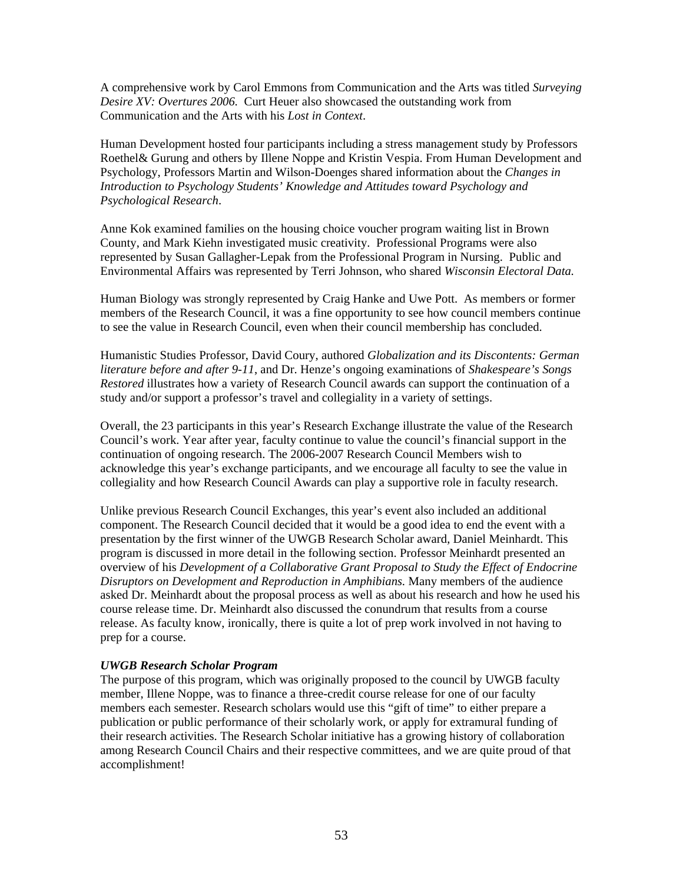A comprehensive work by Carol Emmons from Communication and the Arts was titled *Surveying Desire XV: Overtures 2006.* Curt Heuer also showcased the outstanding work from Communication and the Arts with his *Lost in Context*.

Human Development hosted four participants including a stress management study by Professors Roethel& Gurung and others by Illene Noppe and Kristin Vespia. From Human Development and Psychology, Professors Martin and Wilson-Doenges shared information about the *Changes in Introduction to Psychology Students' Knowledge and Attitudes toward Psychology and Psychological Research*.

Anne Kok examined families on the housing choice voucher program waiting list in Brown County, and Mark Kiehn investigated music creativity. Professional Programs were also represented by Susan Gallagher-Lepak from the Professional Program in Nursing. Public and Environmental Affairs was represented by Terri Johnson, who shared *Wisconsin Electoral Data.*

Human Biology was strongly represented by Craig Hanke and Uwe Pott. As members or former members of the Research Council, it was a fine opportunity to see how council members continue to see the value in Research Council, even when their council membership has concluded.

Humanistic Studies Professor, David Coury, authored *Globalization and its Discontents: German literature before and after 9-11*, and Dr. Henze's ongoing examinations of *Shakespeare's Songs Restored* illustrates how a variety of Research Council awards can support the continuation of a study and/or support a professor's travel and collegiality in a variety of settings.

Overall, the 23 participants in this year's Research Exchange illustrate the value of the Research Council's work. Year after year, faculty continue to value the council's financial support in the continuation of ongoing research. The 2006-2007 Research Council Members wish to acknowledge this year's exchange participants, and we encourage all faculty to see the value in collegiality and how Research Council Awards can play a supportive role in faculty research.

Unlike previous Research Council Exchanges, this year's event also included an additional component. The Research Council decided that it would be a good idea to end the event with a presentation by the first winner of the UWGB Research Scholar award, Daniel Meinhardt. This program is discussed in more detail in the following section. Professor Meinhardt presented an overview of his *Development of a Collaborative Grant Proposal to Study the Effect of Endocrine Disruptors on Development and Reproduction in Amphibians.* Many members of the audience asked Dr. Meinhardt about the proposal process as well as about his research and how he used his course release time. Dr. Meinhardt also discussed the conundrum that results from a course release. As faculty know, ironically, there is quite a lot of prep work involved in not having to prep for a course.

#### *UWGB Research Scholar Program*

The purpose of this program, which was originally proposed to the council by UWGB faculty member, Illene Noppe, was to finance a three-credit course release for one of our faculty members each semester. Research scholars would use this "gift of time" to either prepare a publication or public performance of their scholarly work, or apply for extramural funding of their research activities. The Research Scholar initiative has a growing history of collaboration among Research Council Chairs and their respective committees, and we are quite proud of that accomplishment!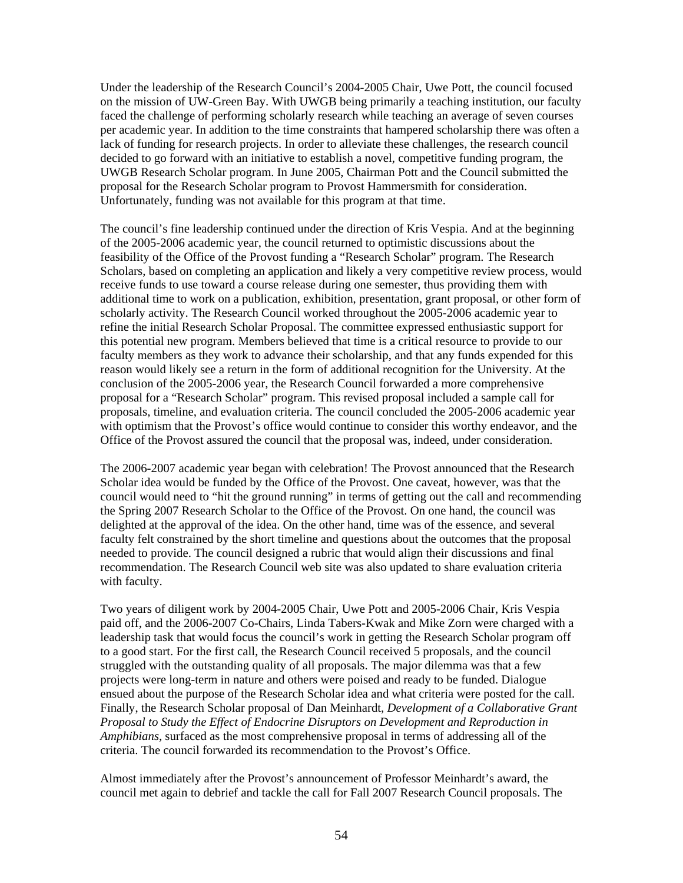Under the leadership of the Research Council's 2004-2005 Chair, Uwe Pott, the council focused on the mission of UW-Green Bay. With UWGB being primarily a teaching institution, our faculty faced the challenge of performing scholarly research while teaching an average of seven courses per academic year. In addition to the time constraints that hampered scholarship there was often a lack of funding for research projects. In order to alleviate these challenges, the research council decided to go forward with an initiative to establish a novel, competitive funding program, the UWGB Research Scholar program. In June 2005, Chairman Pott and the Council submitted the proposal for the Research Scholar program to Provost Hammersmith for consideration. Unfortunately, funding was not available for this program at that time.

The council's fine leadership continued under the direction of Kris Vespia. And at the beginning of the 2005-2006 academic year, the council returned to optimistic discussions about the feasibility of the Office of the Provost funding a "Research Scholar" program. The Research Scholars, based on completing an application and likely a very competitive review process, would receive funds to use toward a course release during one semester, thus providing them with additional time to work on a publication, exhibition, presentation, grant proposal, or other form of scholarly activity. The Research Council worked throughout the 2005-2006 academic year to refine the initial Research Scholar Proposal. The committee expressed enthusiastic support for this potential new program. Members believed that time is a critical resource to provide to our faculty members as they work to advance their scholarship, and that any funds expended for this reason would likely see a return in the form of additional recognition for the University. At the conclusion of the 2005-2006 year, the Research Council forwarded a more comprehensive proposal for a "Research Scholar" program. This revised proposal included a sample call for proposals, timeline, and evaluation criteria. The council concluded the 2005-2006 academic year with optimism that the Provost's office would continue to consider this worthy endeavor, and the Office of the Provost assured the council that the proposal was, indeed, under consideration.

The 2006-2007 academic year began with celebration! The Provost announced that the Research Scholar idea would be funded by the Office of the Provost. One caveat, however, was that the council would need to "hit the ground running" in terms of getting out the call and recommending the Spring 2007 Research Scholar to the Office of the Provost. On one hand, the council was delighted at the approval of the idea. On the other hand, time was of the essence, and several faculty felt constrained by the short timeline and questions about the outcomes that the proposal needed to provide. The council designed a rubric that would align their discussions and final recommendation. The Research Council web site was also updated to share evaluation criteria with faculty.

Two years of diligent work by 2004-2005 Chair, Uwe Pott and 2005-2006 Chair, Kris Vespia paid off, and the 2006-2007 Co-Chairs, Linda Tabers-Kwak and Mike Zorn were charged with a leadership task that would focus the council's work in getting the Research Scholar program off to a good start. For the first call, the Research Council received 5 proposals, and the council struggled with the outstanding quality of all proposals. The major dilemma was that a few projects were long-term in nature and others were poised and ready to be funded. Dialogue ensued about the purpose of the Research Scholar idea and what criteria were posted for the call. Finally, the Research Scholar proposal of Dan Meinhardt, *Development of a Collaborative Grant Proposal to Study the Effect of Endocrine Disruptors on Development and Reproduction in Amphibians*, surfaced as the most comprehensive proposal in terms of addressing all of the criteria. The council forwarded its recommendation to the Provost's Office.

Almost immediately after the Provost's announcement of Professor Meinhardt's award, the council met again to debrief and tackle the call for Fall 2007 Research Council proposals. The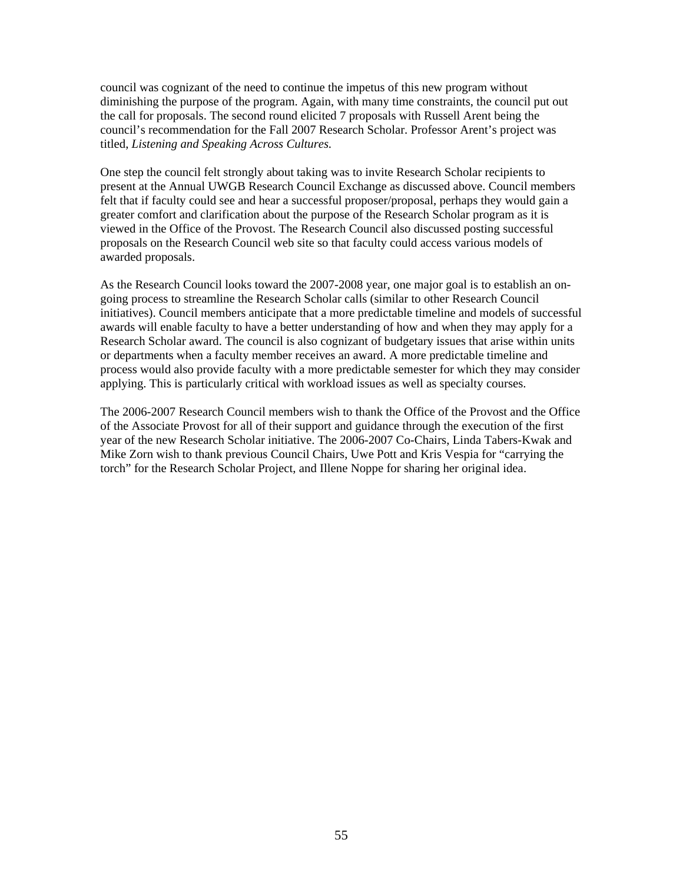council was cognizant of the need to continue the impetus of this new program without diminishing the purpose of the program. Again, with many time constraints, the council put out the call for proposals. The second round elicited 7 proposals with Russell Arent being the council's recommendation for the Fall 2007 Research Scholar. Professor Arent's project was titled, *Listening and Speaking Across Cultures.* 

One step the council felt strongly about taking was to invite Research Scholar recipients to present at the Annual UWGB Research Council Exchange as discussed above. Council members felt that if faculty could see and hear a successful proposer/proposal, perhaps they would gain a greater comfort and clarification about the purpose of the Research Scholar program as it is viewed in the Office of the Provost. The Research Council also discussed posting successful proposals on the Research Council web site so that faculty could access various models of awarded proposals.

As the Research Council looks toward the 2007-2008 year, one major goal is to establish an ongoing process to streamline the Research Scholar calls (similar to other Research Council initiatives). Council members anticipate that a more predictable timeline and models of successful awards will enable faculty to have a better understanding of how and when they may apply for a Research Scholar award. The council is also cognizant of budgetary issues that arise within units or departments when a faculty member receives an award. A more predictable timeline and process would also provide faculty with a more predictable semester for which they may consider applying. This is particularly critical with workload issues as well as specialty courses.

The 2006-2007 Research Council members wish to thank the Office of the Provost and the Office of the Associate Provost for all of their support and guidance through the execution of the first year of the new Research Scholar initiative. The 2006-2007 Co-Chairs, Linda Tabers-Kwak and Mike Zorn wish to thank previous Council Chairs, Uwe Pott and Kris Vespia for "carrying the torch" for the Research Scholar Project, and Illene Noppe for sharing her original idea.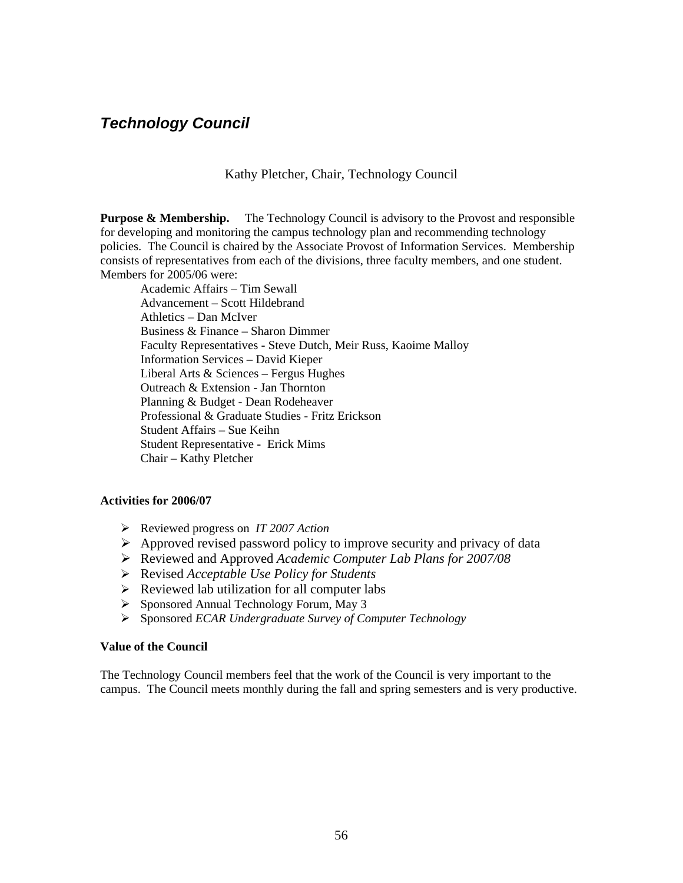### <span id="page-55-0"></span>*Technology Council*

Kathy Pletcher, Chair, Technology Council

**Purpose & Membership.** The Technology Council is advisory to the Provost and responsible for developing and monitoring the campus technology plan and recommending technology policies. The Council is chaired by the Associate Provost of Information Services. Membership consists of representatives from each of the divisions, three faculty members, and one student. Members for 2005/06 were:

Academic Affairs – Tim Sewall Advancement – Scott Hildebrand Athletics – Dan McIver Business & Finance – Sharon Dimmer Faculty Representatives - Steve Dutch, Meir Russ, Kaoime Malloy Information Services – David Kieper Liberal Arts & Sciences – Fergus Hughes Outreach & Extension - Jan Thornton Planning & Budget - Dean Rodeheaver Professional & Graduate Studies - Fritz Erickson Student Affairs – Sue Keihn Student Representative - Erick Mims Chair – Kathy Pletcher

#### **Activities for 2006/07**

- ¾ Reviewed progress on *IT 2007 Action*
- $\triangleright$  Approved revised password policy to improve security and privacy of data
- ¾ Reviewed and Approved *Academic Computer Lab Plans for 2007/08*
- ¾ Revised *Acceptable Use Policy for Students*
- $\triangleright$  Reviewed lab utilization for all computer labs
- ¾ Sponsored Annual Technology Forum, May 3
- ¾ Sponsored *ECAR Undergraduate Survey of Computer Technology*

#### **Value of the Council**

The Technology Council members feel that the work of the Council is very important to the campus. The Council meets monthly during the fall and spring semesters and is very productive.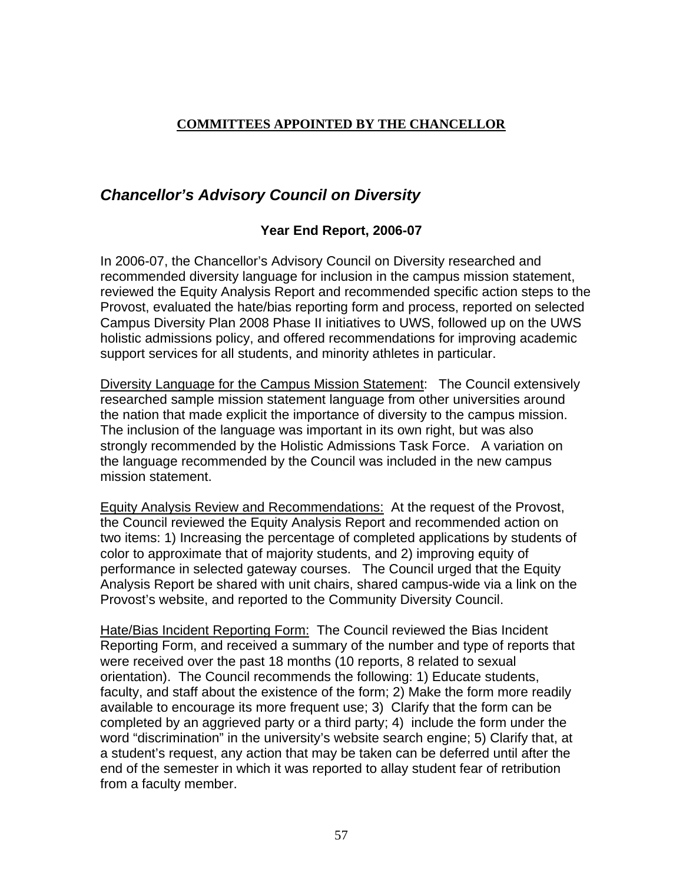### <span id="page-56-0"></span>**COMMITTEES APPOINTED BY THE CHANCELLOR**

## *Chancellor's Advisory Council on Diversity*

### **Year End Report, 2006-07**

In 2006-07, the Chancellor's Advisory Council on Diversity researched and recommended diversity language for inclusion in the campus mission statement, reviewed the Equity Analysis Report and recommended specific action steps to the Provost, evaluated the hate/bias reporting form and process, reported on selected Campus Diversity Plan 2008 Phase II initiatives to UWS, followed up on the UWS holistic admissions policy, and offered recommendations for improving academic support services for all students, and minority athletes in particular.

Diversity Language for the Campus Mission Statement: The Council extensively researched sample mission statement language from other universities around the nation that made explicit the importance of diversity to the campus mission. The inclusion of the language was important in its own right, but was also strongly recommended by the Holistic Admissions Task Force. A variation on the language recommended by the Council was included in the new campus mission statement.

Equity Analysis Review and Recommendations: At the request of the Provost, the Council reviewed the Equity Analysis Report and recommended action on two items: 1) Increasing the percentage of completed applications by students of color to approximate that of majority students, and 2) improving equity of performance in selected gateway courses. The Council urged that the Equity Analysis Report be shared with unit chairs, shared campus-wide via a link on the Provost's website, and reported to the Community Diversity Council.

Hate/Bias Incident Reporting Form: The Council reviewed the Bias Incident Reporting Form, and received a summary of the number and type of reports that were received over the past 18 months (10 reports, 8 related to sexual orientation). The Council recommends the following: 1) Educate students, faculty, and staff about the existence of the form; 2) Make the form more readily available to encourage its more frequent use; 3) Clarify that the form can be completed by an aggrieved party or a third party; 4) include the form under the word "discrimination" in the university's website search engine; 5) Clarify that, at a student's request, any action that may be taken can be deferred until after the end of the semester in which it was reported to allay student fear of retribution from a faculty member.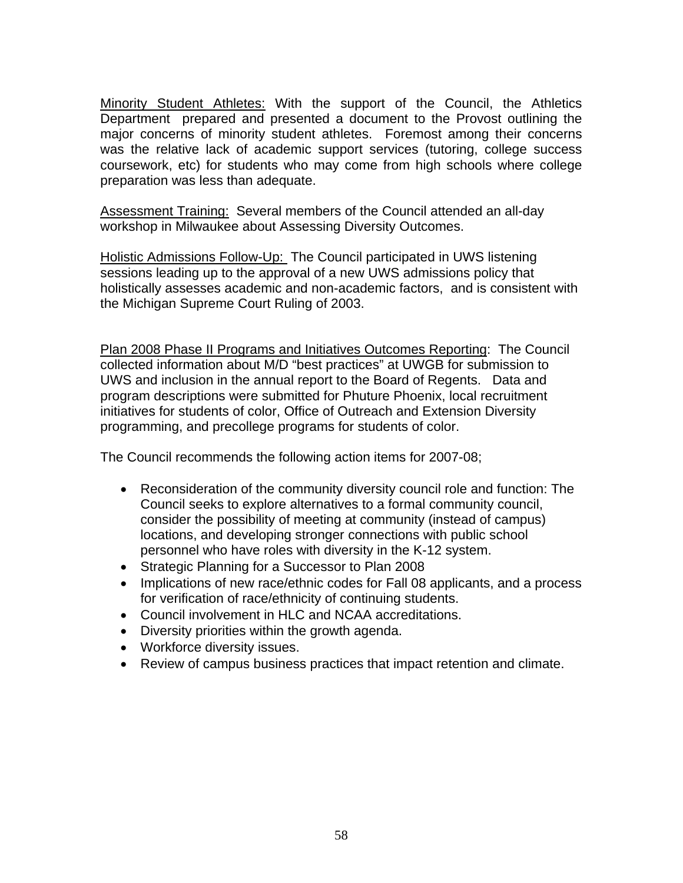Minority Student Athletes: With the support of the Council, the Athletics Department prepared and presented a document to the Provost outlining the major concerns of minority student athletes. Foremost among their concerns was the relative lack of academic support services (tutoring, college success coursework, etc) for students who may come from high schools where college preparation was less than adequate.

Assessment Training: Several members of the Council attended an all-day workshop in Milwaukee about Assessing Diversity Outcomes.

Holistic Admissions Follow-Up: The Council participated in UWS listening sessions leading up to the approval of a new UWS admissions policy that holistically assesses academic and non-academic factors, and is consistent with the Michigan Supreme Court Ruling of 2003.

Plan 2008 Phase II Programs and Initiatives Outcomes Reporting: The Council collected information about M/D "best practices" at UWGB for submission to UWS and inclusion in the annual report to the Board of Regents. Data and program descriptions were submitted for Phuture Phoenix, local recruitment initiatives for students of color, Office of Outreach and Extension Diversity programming, and precollege programs for students of color.

The Council recommends the following action items for 2007-08;

- Reconsideration of the community diversity council role and function: The Council seeks to explore alternatives to a formal community council, consider the possibility of meeting at community (instead of campus) locations, and developing stronger connections with public school personnel who have roles with diversity in the K-12 system.
- Strategic Planning for a Successor to Plan 2008
- Implications of new race/ethnic codes for Fall 08 applicants, and a process for verification of race/ethnicity of continuing students.
- Council involvement in HLC and NCAA accreditations.
- Diversity priorities within the growth agenda.
- Workforce diversity issues.
- Review of campus business practices that impact retention and climate.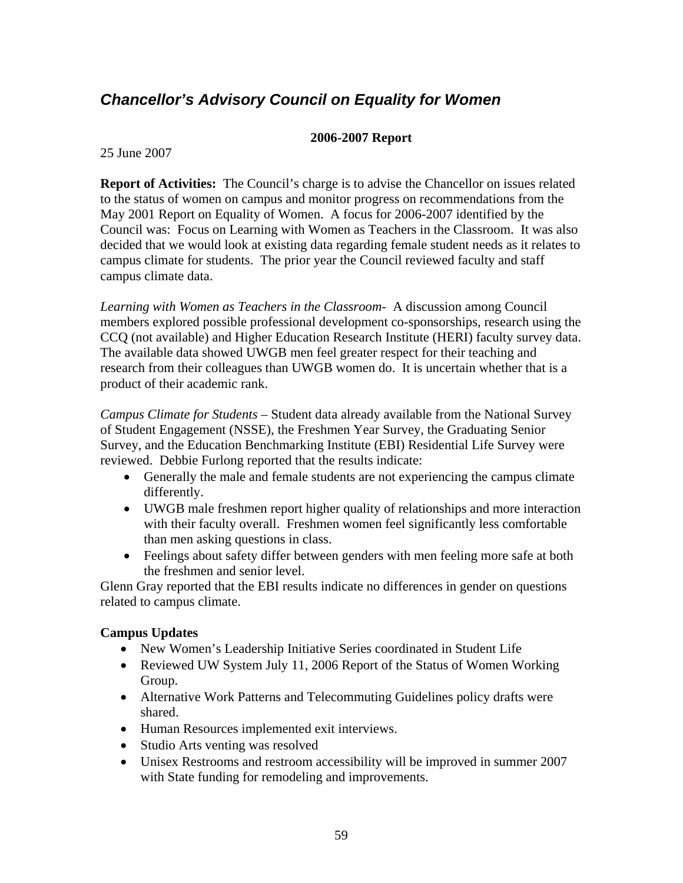## <span id="page-58-0"></span>*Chancellor's Advisory Council on Equality for Women*

### **2006-2007 Report**

25 June 2007

**Report of Activities:** The Council's charge is to advise the Chancellor on issues related to the status of women on campus and monitor progress on recommendations from the May 2001 Report on Equality of Women. A focus for 2006-2007 identified by the Council was: Focus on Learning with Women as Teachers in the Classroom. It was also decided that we would look at existing data regarding female student needs as it relates to campus climate for students. The prior year the Council reviewed faculty and staff campus climate data.

*Learning with Women as Teachers in the Classroom-* A discussion among Council members explored possible professional development co-sponsorships, research using the CCQ (not available) and Higher Education Research Institute (HERI) faculty survey data. The available data showed UWGB men feel greater respect for their teaching and research from their colleagues than UWGB women do. It is uncertain whether that is a product of their academic rank.

*Campus Climate for Students –* Student data already available from the National Survey of Student Engagement (NSSE), the Freshmen Year Survey, the Graduating Senior Survey, and the Education Benchmarking Institute (EBI) Residential Life Survey were reviewed. Debbie Furlong reported that the results indicate:

- Generally the male and female students are not experiencing the campus climate differently.
- UWGB male freshmen report higher quality of relationships and more interaction with their faculty overall. Freshmen women feel significantly less comfortable than men asking questions in class.
- Feelings about safety differ between genders with men feeling more safe at both the freshmen and senior level.

Glenn Gray reported that the EBI results indicate no differences in gender on questions related to campus climate.

### **Campus Updates**

- New Women's Leadership Initiative Series coordinated in Student Life
- Reviewed UW System July 11, 2006 Report of the Status of Women Working Group.
- Alternative Work Patterns and Telecommuting Guidelines policy drafts were shared.
- Human Resources implemented exit interviews.
- Studio Arts venting was resolved
- Unisex Restrooms and restroom accessibility will be improved in summer 2007 with State funding for remodeling and improvements.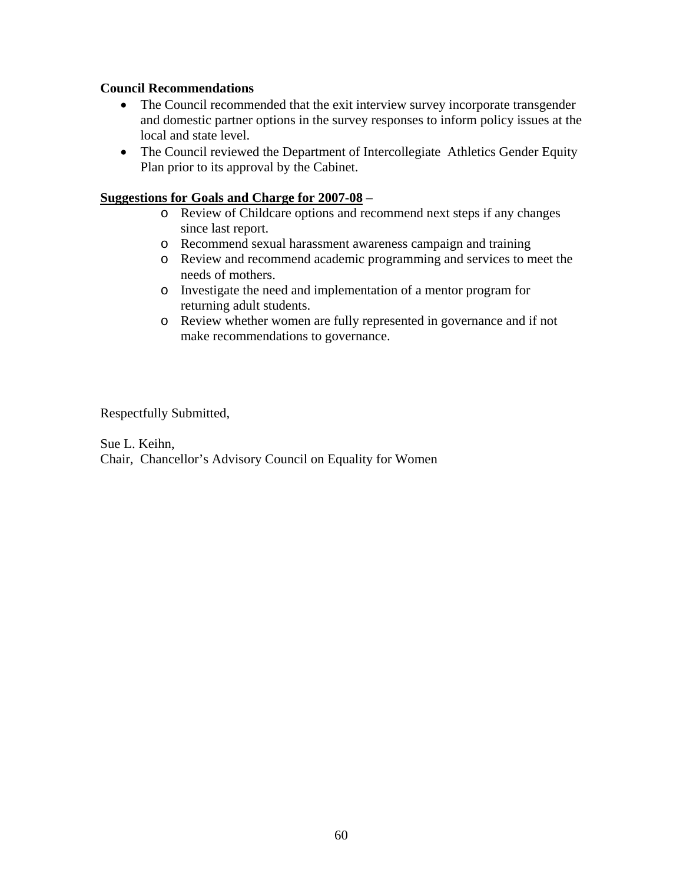### **Council Recommendations**

- The Council recommended that the exit interview survey incorporate transgender and domestic partner options in the survey responses to inform policy issues at the local and state level.
- The Council reviewed the Department of Intercollegiate Athletics Gender Equity Plan prior to its approval by the Cabinet.

#### **Suggestions for Goals and Charge for 2007-08** –

- o Review of Childcare options and recommend next steps if any changes since last report.
- o Recommend sexual harassment awareness campaign and training
- o Review and recommend academic programming and services to meet the needs of mothers.
- o Investigate the need and implementation of a mentor program for returning adult students.
- o Review whether women are fully represented in governance and if not make recommendations to governance.

### Respectfully Submitted,

Sue L. Keihn, Chair, Chancellor's Advisory Council on Equality for Women